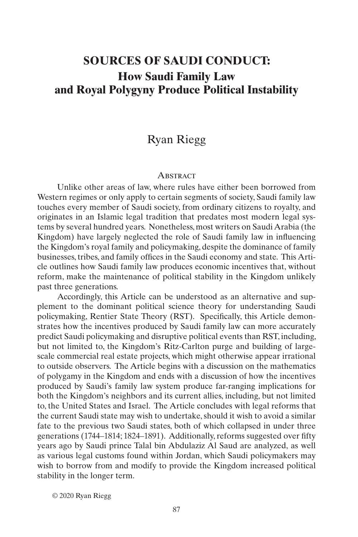# **SOURCES OF SAUDI CONDUCT: How Saudi Family Law and Royal Polygyny Produce Political Instability**

## Ryan Riegg

#### **ABSTRACT**

Unlike other areas of law, where rules have either been borrowed from Western regimes or only apply to certain segments of society, Saudi family law touches every member of Saudi society, from ordinary citizens to royalty, and originates in an Islamic legal tradition that predates most modern legal systems by several hundred years. Nonetheless, most writers on Saudi Arabia (the Kingdom) have largely neglected the role of Saudi family law in influencing the Kingdom's royal family and policymaking, despite the dominance of family businesses, tribes, and family offices in the Saudi economy and state. This Article outlines how Saudi family law produces economic incentives that, without reform, make the maintenance of political stability in the Kingdom unlikely past three generations.

Accordingly, this Article can be understood as an alternative and supplement to the dominant political science theory for understanding Saudi policymaking, Rentier State Theory (RST). Specifically, this Article demonstrates how the incentives produced by Saudi family law can more accurately predict Saudi policymaking and disruptive political events than RST, including, but not limited to, the Kingdom's Ritz-Carlton purge and building of largescale commercial real estate projects, which might otherwise appear irrational to outside observers. The Article begins with a discussion on the mathematics of polygamy in the Kingdom and ends with a discussion of how the incentives produced by Saudi's family law system produce far-ranging implications for both the Kingdom's neighbors and its current allies, including, but not limited to, the United States and Israel. The Article concludes with legal reforms that the current Saudi state may wish to undertake, should it wish to avoid a similar fate to the previous two Saudi states, both of which collapsed in under three generations (1744–1814; 1824–1891). Additionally, reforms suggested over fifty years ago by Saudi prince Talal bin Abdulaziz Al Saud are analyzed, as well as various legal customs found within Jordan, which Saudi policymakers may wish to borrow from and modify to provide the Kingdom increased political stability in the longer term.

© 2020 Ryan Riegg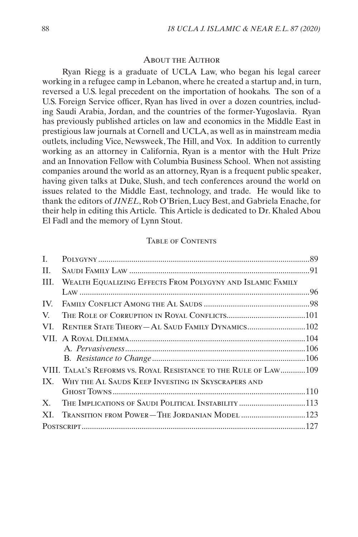#### About the Author

Ryan Riegg is a graduate of UCLA Law, who began his legal career working in a refugee camp in Lebanon, where he created a startup and, in turn, reversed a U.S. legal precedent on the importation of hookahs. The son of a U.S. Foreign Service officer, Ryan has lived in over a dozen countries, including Saudi Arabia, Jordan, and the countries of the former-Yugoslavia. Ryan has previously published articles on law and economics in the Middle East in prestigious law journals at Cornell and UCLA, as well as in mainstream media outlets, including Vice, Newsweek, The Hill, and Vox. In addition to currently working as an attorney in California, Ryan is a mentor with the Hult Prize and an Innovation Fellow with Columbia Business School. When not assisting companies around the world as an attorney, Ryan is a frequent public speaker, having given talks at Duke, Slush, and tech conferences around the world on issues related to the Middle East, technology, and trade. He would like to thank the editors of *JINEL*, Rob O'Brien, Lucy Best, and Gabriela Enache, for their help in editing this Article. This Article is dedicated to Dr. Khaled Abou El Fadl and the memory of Lynn Stout.

#### Table of Contents

| $\mathbf{L}$ |                                                                  |  |
|--------------|------------------------------------------------------------------|--|
| H.           |                                                                  |  |
| III.         | WEALTH EQUALIZING EFFECTS FROM POLYGYNY AND ISLAMIC FAMILY       |  |
|              |                                                                  |  |
| IV.          |                                                                  |  |
| V.           |                                                                  |  |
| VI.          | RENTIER STATE THEORY-AL SAUD FAMILY DYNAMICS 102                 |  |
|              |                                                                  |  |
|              |                                                                  |  |
|              |                                                                  |  |
|              | VIII. TALAL'S REFORMS VS. ROYAL RESISTANCE TO THE RULE OF LAW109 |  |
|              | IX. WHY THE AL SAUDS KEEP INVESTING IN SKYSCRAPERS AND           |  |
|              |                                                                  |  |
| $X_{-}$      | THE IMPLICATIONS OF SAUDI POLITICAL INSTABILITY 113              |  |
|              | XI. TRANSITION FROM POWER-THE JORDANIAN MODEL  123               |  |
|              |                                                                  |  |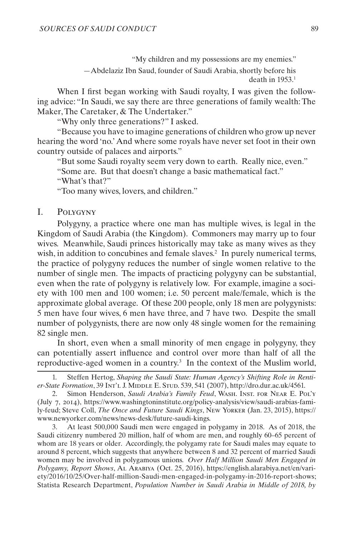"My children and my possessions are my enemies."

—Abdelaziz Ibn Saud, founder of Saudi Arabia, shortly before his death in  $1953.1$ 

<span id="page-2-0"></span>When I first began working with Saudi royalty, I was given the following advice: "In Saudi, we say there are three generations of family wealth: The Maker, The Caretaker, & The Undertaker."

"Why only three generations?" I asked.

"Because you have to imagine generations of children who grow up never hearing the word 'no.' And where some royals have never set foot in their own country outside of palaces and airports."

"But some Saudi royalty seem very down to earth. Really nice, even."

"Some are. But that doesn't change a basic mathematical fact."

"What's that?"

<span id="page-2-1"></span>"Too many wives, lovers, and children."

## I. Polygyny

Polygyny, a practice where one man has multiple wives, is legal in the Kingdom of Saudi Arabia (the Kingdom). Commoners may marry up to four wives. Meanwhile, Saudi princes historically may take as many wives as they wish, in addition to concubines and female slaves.<sup>2</sup> In purely numerical terms, the practice of polygyny reduces the number of single women relative to the number of single men. The impacts of practicing polygyny can be substantial, even when the rate of polygyny is relatively low. For example, imagine a society with 100 men and 100 women; i.e. 50 percent male/female, which is the approximate global average. Of these 200 people, only 18 men are polygynists: 5 men have four wives, 6 men have three, and 7 have two. Despite the small number of polygynists, there are now only 48 single women for the remaining 82 single men.

In short, even when a small minority of men engage in polygyny, they can potentially assert influence and control over more than half of all the reproductive-aged women in a country.<sup>3</sup> In the context of the Muslim world,

3. At least 500,000 Saudi men were engaged in polygamy in 2018. As of 2018, the Saudi citizenry numbered 20 million, half of whom are men, and roughly 60–65 percent of whom are 18 years or older. Accordingly, the polygamy rate for Saudi males may equate to around 8 percent, which suggests that anywhere between 8 and 32 percent of married Saudi women may be involved in polygamous unions. *Over Half Million Saudi Men Engaged in Polygamy, Report Shows*, Al Arabiya (Oct. 25, 2016), https://english.alarabiya.net/en/variety/2016/10/25/Over-half-million-Saudi-men-engaged-in-polygamy-in-2016-report-shows; Statista Research Department, *Population Number in Saudi Arabia in Middle of 2018, by* 

<sup>1.</sup> Steffen Hertog, *Shaping the Saudi State: Human Agency's Shifting Role in Rentier-State Formation*, 39 Int'l J. Middle E. Stud. 539, 541 (2007), http://dro.dur.ac.uk/4561.

<sup>2.</sup> Simon Henderson, *Saudi Arabia's Family Feud*, Wash. Inst. for Near E. Pol'y (July 7, 2014), https://www.washingtoninstitute.org/policy-analysis/view/saudi-arabias-family-feud; Steve Coll, *The Once and Future Saudi Kings*, New Yorker (Jan. 23, 2015), https:// www.newyorker.com/news/news-desk/future-saudi-kings.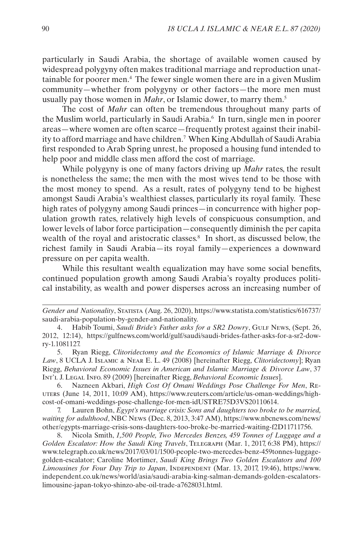particularly in Saudi Arabia, the shortage of available women caused by widespread polygyny often [makes traditional marriage](https://www.theguardian.com/commentisfree/belief/2009/aug/16/saudi-arabia-marriage) and [reproduction unat](http://gulfnews.com/news/gulf/saudi-arabia/saudi-bride-s-father-asks-for-a-sr2-dowry-1.1081127)[tainable for poorer men.](http://gulfnews.com/news/gulf/saudi-arabia/saudi-bride-s-father-asks-for-a-sr2-dowry-1.1081127) 4 [The fewer single women there are in a given Muslim](http://www.academia.edu/3388376/Clitoridectomy_and_the_Economics_of_Islamic_Marriage_and_Divorce_Law)  [community—](http://www.academia.edu/3388376/Clitoridectomy_and_the_Economics_of_Islamic_Marriage_and_Divorce_Law)whether from polygyny or other factors—the more men must usually pay those women in *Mahr*, or Islamic dower, to marry them.<sup>5</sup>

The cost of *[Mahr](https://www.reuters.com/article/us-oman-weddings/high-cost-of-omani-weddings-pose-challenge-for-men-idUSTRE75D3VS20110614)* [can often be tremendous](https://www.reuters.com/article/us-oman-weddings/high-cost-of-omani-weddings-pose-challenge-for-men-idUSTRE75D3VS20110614) throughout many parts of the Muslim world, [particularly in Saudi](http://articles.latimes.com/1987-10-25/news/mn-16245_1_arab-women) Arabia.6 In turn, [single men in poorer](https://www.nbcnews.com/news/other/egypts-marriage-crisis-sons-daughters-too-broke-be-married-waiting-f2D11711756)  [areas—](https://www.nbcnews.com/news/other/egypts-marriage-crisis-sons-daughters-too-broke-be-married-waiting-f2D11711756)where women are often scarce—frequently protest against their inability to afford marriage and have children.7 When King Abdullah of Saudi Arabia first responded to Arab Spring unrest, he proposed a housing fund intended to help poor and middle class men afford the cost of marriage.

While polygyny is one of many factors driving up *Mahr* rates, the result is nonetheless the same; the men with the most wives tend to be those with the most money to spend. As a result, rates of polygyny tend to be highest amongst Saudi Arabia's wealthiest classes, particularly its royal family. These high rates of polygyny among Saudi princes—in concurrence with higher population growth rates, relatively high levels of conspicuous consumption, and lower levels of labor force participation—consequently diminish the per capita wealth of the royal and aristocratic classes.<sup>8</sup> In short, as discussed below, the richest family in Saudi Arabia—its royal family—experiences a downward pressure on per capita wealth.

While this resultant wealth equalization may have some social benefits, continued population growth among Saudi Arabia's royalty produces political instability, as wealth and power disperses across an increasing number of

6. Nazneen Akbari, *High Cost Of Omani Weddings Pose Challenge For Men*, Reuters (June 14, 2011, 10:09 AM), https://www.reuters.com/article/us-oman-weddings/highcost-of-omani-weddings-pose-challenge-for-men-idUSTRE75D3VS20110614.

7. Lauren Bohn, *Egypt's marriage crisis: Sons and daughters too broke to be married, waiting for adulthood*, NBC News (Dec. 8, 2013, 3:47 AM), https://www.nbcnews.com/news/ other/egypts-marriage-crisis-sons-daughters-too-broke-be-married-waiting-f2D11711756.

8. Nicola Smith, *1,500 People, Two Mercedes Benzes, 459 Tonnes of Luggage and a Golden Escalator: How the Saudi King Travels*, Telegraph (Mar. 1, 2017, 6:38 PM), https:// www.telegraph.co.uk/news/2017/03/01/1500-people-two-mercedes-benz-459tonnes-luggagegolden-escalator; Caroline Mortimer, *Saudi King Brings Two Golden Escalators and 100*  Limousines for Four Day Trip to Japan, INDEPENDENT (Mar. 13, 2017, 19:46), https://www. independent.co.uk/news/world/asia/saudi-arabia-king-salman-demands-golden-escalatorslimousine-japan-tokyo-shinzo-abe-oil-trade-a7628031.html.

*Gender and Nationality*, Statista (Aug. 26, 2020), https://www.statista.com/statistics/616737/ saudi-arabia-population-by-gender-and-nationality.

<sup>4.</sup> Habib Toumi, *Saudi Bride's Father asks for a SR2 Dowry*, GuLF News, (Sept. 26, 2012, 12:14), https://gulfnews.com/world/gulf/saudi/saudi-brides-father-asks-for-a-sr2-dowry-1.1081127.

<sup>5.</sup> Ryan Riegg, *Clitoridectomy and the Economics of Islamic Marriage & Divorce Law*, 8 UCLA J. Islamic & Near E. L. 49 (2008) [hereinafter Riegg, *Clitoridectomy*]; Ryan Riegg, *Behavioral Economic Issues in American and Islamic Marriage & Divorce Law*, 37 Int'l J. Legal Info. 89 (2009) [hereinafter Riegg, *Behavioral Economic Issues*].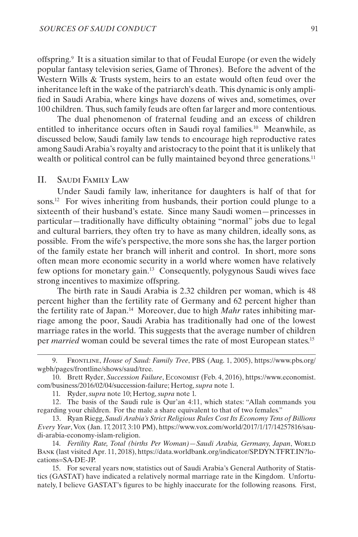<span id="page-4-0"></span>offspring.9 It is a situation similar to that of Feudal Europe (or even the widely popular fantasy television series, Game of Thrones). Before the advent of the Western Wills & Trusts system, heirs to an estate would often feud over the inheritance left in the wake of the patriarch's death. This dynamic is only amplified in Saudi Arabia, where kings have dozens of wives and, sometimes, over 100 children. Thus, such family feuds are often far larger and more contentious.

The dual phenomenon of fraternal feuding and an excess of children entitled to inheritance occurs often in Saudi royal families.10 Meanwhile, as discussed below, Saudi family law tends to encourage high reproductive rates among Saudi Arabia's royalty and aristocracy to the point that it is unlikely that wealth or political control can be fully maintained beyond three generations.<sup>11</sup>

## II. Saudi Family Law

Under Saudi family law, inheritance for daughters is half of that for sons.12 For wives inheriting from husbands, their portion could plunge to a sixteenth of their husband's estate. Since many Saudi women—princesses in particular—traditionally have difficulty obtaining "normal" jobs due to [legal](https://www.vox.com/world/2017/1/17/14257816/saudi-arabia-economy-islam-religion) and cultural barriers, they often try to have as many children, ideally sons, as possible. From the wife's perspective, the more sons she has, the larger portion of the family estate her branch will inherit and control. In short, more sons often mean more economic security in a world where women have relatively few options for monetary gain.13 Consequently, polygynous Saudi wives face strong incentives to maximize offspring.

The birth rate in Saudi Arabia is 2.32 children per woman, which is 48 percent higher than the fertility rate of Germany and 62 percent higher than the fertility rate of Japan.14 Moreover, due to high *Mahr* rates inhibiting marriage among the poor, Saudi Arabia has traditionally had one of the lowest marriage rates in the world. This suggests that the average number of children per *married* woman could be several times the rate of most European states.<sup>15</sup>

15. For several years now, statistics out of Saudi Arabia's General Authority of Statistics (GASTAT) have indicated a relatively normal marriage rate in the Kingdom. Unfortunately, I believe GASTAT's figures to be highly inaccurate for the following reasons. First,

<sup>9.</sup> Frontline, *House of Saud: Family Tree*, PBS (Aug. 1, 2005), https://www.pbs.org/ wgbh/pages/frontline/shows/saud/tree.

<sup>10.</sup> Brett Ryder, *Succession Failure*, Economist (Feb. 4, 2016), https://www.economist. com/business/2016/02/04/succession-failure; Hertog, *supra* note 1.

<sup>11.</sup> Ryder, *supra* note 10; Hertog, *supra* note 1.

<sup>12.</sup> The basis of the Saudi rule is Qur'an 4:11, which states: "Allah commands you regarding your children. For the male a share equivalent to that of two females."

<sup>13.</sup> Ryan Riegg, *Saudi Arabia's Strict Religious Rules Cost Its Economy Tens of Billions Every Year*, Vox (Jan. 17, 2017, 3:10 PM), https://www.vox.com/world/2017/1/17/14257816/saudi-arabia-economy-islam-religion.

<sup>14.</sup> *Fertility Rate, Total (births Per Woman)—Saudi Arabia, Germany, Japan*, World Bank (last visited Apr. 11, 2018), https://data.worldbank.org/indicator/SP.DYN.TFRT.IN?locations=SA-DE-JP.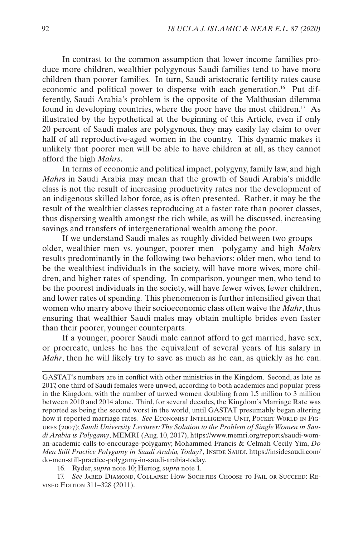In contrast to the common assumption that lower income families produce more children, wealthier polygynous Saudi families tend to have more children than poorer families. In turn, Saudi aristocratic fertility rates cause economic and political power to disperse with each generation.16 Put differently, Saudi Arabia's problem is the opposite of the Malthusian dilemma found in developing countries, where the poor have the most children.<sup>17</sup> As illustrated by the hypothetical at the beginning of this Article, even if only 20 percent of Saudi males are polygynous, they may easily lay claim to over half of all reproductive-aged women in the country. This dynamic makes it unlikely that poorer men will be able to have children at all, as they cannot afford the high *Mahrs*.

In terms of economic and political impact, polygyny, family law, and high *Mahr*s in Saudi Arabia may mean that the growth of Saudi Arabia's middle class is not the result of increasing productivity rates nor the development of an indigenous skilled labor force, as is often presented. Rather, it may be the result of the wealthier classes reproducing at a faster rate than poorer classes, thus dispersing wealth amongst the rich while, as will be discussed, increasing savings and transfers of intergenerational wealth among the poor.

If we understand Saudi males as roughly divided between two groups older, wealthier men vs. younger, poorer men—polygamy and high *Mahrs* results predominantly in the following two behaviors: older men, who tend to be the wealthiest individuals in the society, will have more wives, more children, and higher rates of spending. In comparison, younger men, who tend to be the poorest individuals in the society, will have fewer wives, fewer children, and lower rates of spending. This phenomenon is further intensified given that women who marry above their socioeconomic class often waive the *Mahr*, thus ensuring that wealthier Saudi males may obtain multiple brides even faster than their poorer, younger counterparts.

If a younger, poorer Saudi male cannot afford to get married, have sex, or procreate, unless he has the equivalent of several years of his salary in *Mahr*, then he will likely try to save as much as he can, as quickly as he can.

GASTAT's numbers are in conflict with other ministries in the Kingdom. Second, as late as 2017, one third of Saudi females were unwed, according to both academics and popular press in the Kingdom, with the number of unwed women doubling from 1.5 million to 3 million between 2010 and 2014 alone. Third, for several decades, the Kingdom's Marriage Rate was reported as being the second worst in the world, until GASTAT presumably began altering how it reported marriage rates. *See* Economist Intelligence Unit, Pocket World in Figures (2007); *Saudi University Lecturer: The Solution to the Problem of Single Women in Saudi Arabia is Polygamy*, MEMRI (Aug. 10, 2017), https://www.memri.org/reports/saudi-woman-academic-calls-to-encourage-polygamy; Mohammed Francis & Celmah Cecily Yim, *Do*  Men Still Practice Polygamy in Saudi Arabia, Today?, Inside SAUDI, https://insidesaudi.com/ do-men-still-practice-polygamy-in-saudi-arabia-today.

16. Ryder, *supra* note 10; Hertog, *supra* note 1.

17. *See* Jared Diamond, Collapse: How Societies Choose to Fail or Succeed: Revised Edition 311–328 (2011).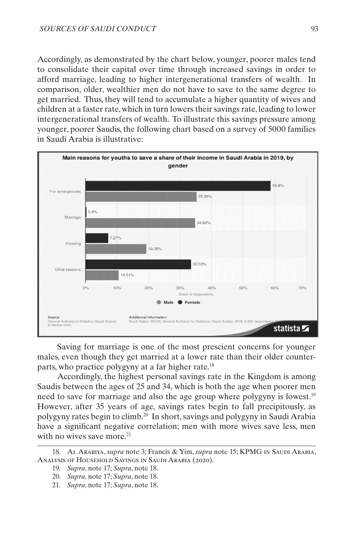Accordingly, as demonstrated by the chart below, younger, poorer males tend to consolidate their capital over time through increased savings in order to afford marriage, leading to higher intergenerational transfers of wealth. In comparison, older, wealthier men do not have to save to the same degree to get married. Thus, they will tend to accumulate a higher quantity of wives and children at a faster rate, which in turn lowers their savings rate, leading to lower intergenerational transfers of wealth. To illustrate this savings pressure among younger, poorer Saudis, the following chart based on a survey of 5000 families in Saudi Arabia is illustrative:



Saving for marriage is one of the most prescient concerns for younger males, even though they get married at a lower rate than their older counterparts, who practice polygyny at a far higher rate.<sup>18</sup>

Accordingly, the highest personal savings rate in the Kingdom is among Saudis between the ages of 25 and 34, which is both the age when poorer men need to save for marriage and also the age group where polygyny is lowest.<sup>19</sup> However, after 35 years of age, savings rates begin to fall precipitously, as polygyny rates begin to climb.20 In short, savings and polygyny in Saudi Arabia have a significant negative correlation; men with more wives save less, men with no wives save more.<sup>21</sup>

<sup>18.</sup> Al Arabiya, *supra* note 3; Francis & Yim, *supra* note 15; KPMG in Saudi Arabia, Analysis of Household Savings in Saudi Arabia (2020).

<sup>19.</sup> *Supra*, note 17; *Supra*, note 18.

<sup>20.</sup> *Supra*, note 17; *Supra*, note 18.

<sup>21.</sup> *Supra*, note 17; *Supra*, note 18.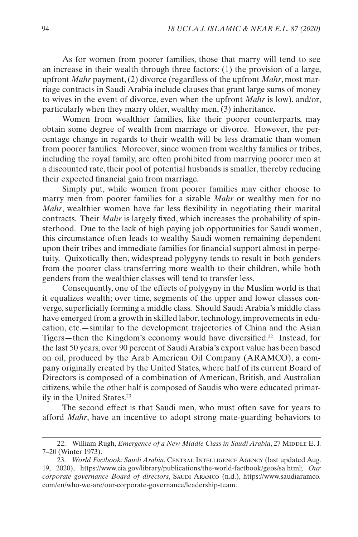As for women from poorer families, those that marry will tend to see an increase in their wealth through three factors: (1) the provision of a large, upfront *Mahr* payment, (2) divorce (regardless of the upfront *Mahr*, most marriage contracts in Saudi Arabia include clauses that grant large sums of money to wives in the event of divorce, even when the upfront *Mahr* is low), and/or, particularly when they marry older, wealthy men, (3) inheritance.

Women from wealthier families, like their poorer counterparts, may obtain some degree of wealth from marriage or divorce. However, the percentage change in regards to their wealth will be less dramatic than women from poorer families. Moreover, since women from wealthy families or tribes, including the royal family, are often prohibited from marrying poorer men at a discounted rate, their pool of potential husbands is smaller, thereby reducing their expected financial gain from marriage.

Simply put, while women from poorer families may either choose to marry men from poorer families for a sizable *Mahr* or wealthy men for no *Mahr*, wealthier women have far less flexibility in negotiating their marital contracts. Their *Mahr* is largely fixed, which increases the probability of spinsterhood. Due to the lack of high paying job opportunities for Saudi women, this circumstance often leads to wealthy Saudi women remaining dependent upon their tribes and immediate families for financial support almost in perpetuity. Quixotically then, widespread polygyny tends to result in both genders from the poorer class transferring more wealth to their children, while both genders from the wealthier classes will tend to transfer less.

Consequently, one of the effects of polygyny in the Muslim world is that it equalizes wealth; over time, segments of the upper and lower classes converge, superficially forming a middle class. Should Saudi Arabia's middle class have emerged from a growth in skilled labor, technology, improvements in education, etc.—similar to the development trajectories of China and the Asian Tigers—then the Kingdom's economy would have diversified.22 Instead, for the last 50 years, over 90 percent of Saudi Arabia's export value has been based on oil, produced by the Arab American Oil Company (ARAMCO), a company originally created by the United States, where half of its current Board of Directors is composed of a combination of American, British, and Australian citizens, while the other half is composed of Saudis who were educated primarily in the United States.23

The second effect is that Saudi men, who must often save for years to afford *Mahr*, have an incentive to adopt strong mate-guarding behaviors to

<sup>22.</sup> William Rugh, *Emergence of a New Middle Class in Saudi Arabia*, 27 MIDDLE E.J. 7–20 (Winter 1973).

<sup>23.</sup> *World Factbook: Saudi Arabia*, CENTRAL INTELLIGENCE AGENCY (last updated Aug. 19, 2020), https://www.cia.gov/library/publications/the-world-factbook/geos/sa.html; *Our corporate governance Board of directors*, Saudi Aramco (n.d.), https://www.saudiaramco. com/en/who-we-are/our-corporate-governance/leadership-team.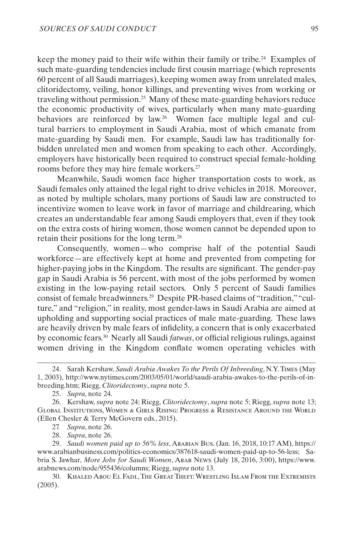keep the money paid to their wife within their family or tribe.24 Examples of such mate-guarding tendencies include first cousin marriage (which represents 60 percent of all Saudi marriages), keeping women away from unrelated males, clitoridectomy, veiling, honor killings, and preventing wives from working or traveling without permission.25 Many of these mate-guarding behaviors reduce the economic productivity of wives, particularly when many mate-guarding behaviors are reinforced by law.26 Women face multiple legal and cultural barriers to employment in Saudi Arabia, most of which emanate from mate-guarding by Saudi men. For example, Saudi law has traditionally forbidden unrelated men and women from speaking to each other. Accordingly, employers have historically been required to construct special female-holding rooms before they may hire female workers.27

Meanwhile, Saudi women face higher transportation costs to work, as Saudi females only attained the legal right to drive vehicles in 2018. Moreover, as noted by multiple scholars, [many portions of Saudi law are constructed to](https://www.vox.com/world/2017/1/17/14257816/saudi-arabia-economy-islam-religion) [incentivize women to leave work in favor of marriage and childrearing, which](https://www.vox.com/world/2017/1/17/14257816/saudi-arabia-economy-islam-religion)  [creates an understandable fear among Saudi employers that, even if they took](https://www.vox.com/world/2017/1/17/14257816/saudi-arabia-economy-islam-religion) [on the extra costs of hiring women, those women cannot be depended upon to](https://www.vox.com/world/2017/1/17/14257816/saudi-arabia-economy-islam-religion) [retain their positions for the long term.](https://www.vox.com/world/2017/1/17/14257816/saudi-arabia-economy-islam-religion) 28

Consequently, women—who comprise half of the potential Saudi workforce—are effectively kept at home and prevented from competing for higher-paying jobs in the Kingdom. The results are significant. The gender-pay gap in Saudi Arabia is 56 percent, with most of the jobs performed by women existing in the low-paying retail sectors. Only 5 percent of Saudi families consist of female breadwinners.29 Despite PR-based claims of "tradition," "culture," and "religion," in reality, most gender-laws in Saudi Arabia are aimed at upholding and supporting social practices of male mate-guarding. These laws are heavily driven by male fears of infidelity, a concern that is only exacerbated by economic fears.30 Nearly all Saudi *fatwas*, or official religious rulings, against women driving in the Kingdom conflate women operating vehicles with

<sup>24.</sup> Sarah Kershaw, *Saudi Arabia Awakes To the Perils Of Inbreeding*, N.Y. Times (May 1, 2003), http://www.nytimes.com/2003/05/01/world/saudi-arabia-awakes-to-the-perils-of-inbreeding.htm; Riegg, *Clitoridectomy*, *supra* note 5.

<sup>25.</sup> *Supra*, note 24.

<sup>26.</sup> Kershaw, *supra* note 24; Riegg, *Clitoridectomy*, *supra* note 5; Riegg, *supra* note 13; Global Institutions, Women & Girls Rising: Progress & Resistance Around the World (Ellen Chesler & Terry McGovern eds., 2015).

<sup>27.</sup> *Supra*, note 26.

<sup>28.</sup> *Supra*, note 26.

<sup>29.</sup> *Saudi women paid up to 56% less*, Arabian Bus. (Jan. 16, 2018, 10:17 AM), https:// www.arabianbusiness.com/politics-economics/387618-saudi-women-paid-up-to-56-less; Sabria S. Jawhar, *More Jobs for Saudi Women*, Arab News (July 18, 2016, 3:00), https://www. arabnews.com/node/955436/columns; Riegg, *supra* note 13.

<sup>30.</sup> Khaled Abou El Fadl, The Great Theft: Wrestling Islam From the Extremists (2005).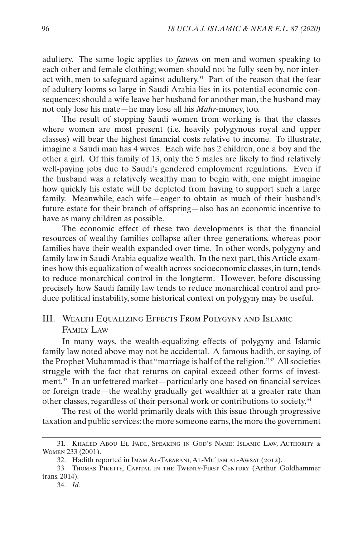<span id="page-9-0"></span>adultery. The same logic applies to *fatwas* on men and women speaking to each other and female clothing; women should not be fully seen by, nor interact with, men to safeguard against adultery.<sup>31</sup> Part of the reason that the fear of adultery looms so large in Saudi Arabia lies in its potential economic consequences; should a wife leave her husband for another man, the husband may not only lose his mate—he may lose all his *Mahr*-money, too.

The result of stopping Saudi women from working is that the classes where women are most present (i.e. heavily polygynous royal and upper classes) will bear the highest financial costs relative to income. To illustrate, imagine a Saudi man has 4 wives. Each wife has 2 children, one a boy and the other a girl. Of this family of 13, only the 5 males are likely to find relatively well-paying jobs due to Saudi's gendered employment regulations. Even if the husband was a relatively wealthy man to begin with, one might imagine how quickly his estate will be depleted from having to support such a large family. Meanwhile, each wife—eager to obtain as much of their husband's future estate for their branch of offspring—also has an economic incentive to have as many children as possible.

The economic effect of these two developments is that the financial resources of wealthy families collapse after three generations, whereas poor families have their wealth expanded over time. In other words, polygyny and family law in Saudi Arabia equalize wealth. In the next part, this Article examines how this equalization of wealth across socioeconomic classes, in turn, tends to reduce monarchical control in the longterm. However, before discussing precisely how Saudi family law tends to reduce monarchical control and produce political instability, some historical context on polygyny may be useful.

## III. Wealth Equalizing Effects From Polygyny and Islamic Family Law

In many ways, the wealth-equalizing effects of polygyny and Islamic family law noted above may not be accidental. A famous hadith, or saying, of the Prophet Muhammad is that "marriage is half of the religion."32 All societies struggle with the fact that returns on capital exceed other forms of investment.33 In an unfettered market—particularly one based on financial services or foreign trade—the wealthy gradually get wealthier at a greater rate than other classes, regardless of their personal work or contributions to society.34

The rest of the world primarily deals with this issue through progressive taxation and public services; the more someone earns, the more the government

34. *Id.*

<sup>31.</sup> Khaled Abou El Fadl, Speaking in God's Name: Islamic Law, Authority & Women 233 (2001).

<sup>32.</sup> Hadith reported in Imam Al-Tabarani, Al-Mu'jam al-Awsat (2012).

<sup>33.</sup> Thomas Piketty, Capital in the Twenty-First Century (Arthur Goldhammer trans. 2014).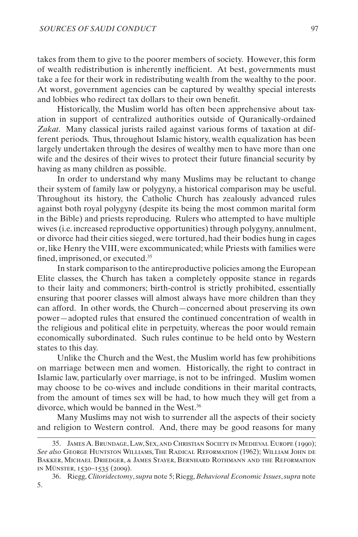takes from them to give to the poorer members of society. However, this form of wealth redistribution is inherently inefficient. At best, governments must take a fee for their work in redistributing wealth from the wealthy to the poor. At worst, government agencies can be captured by wealthy special interests and lobbies who redirect tax dollars to their own benefit.

Historically, the Muslim world has often been apprehensive about taxation in support of centralized authorities outside of Quranically-ordained *Zakat*. Many classical jurists railed against various forms of taxation at different periods. Thus, throughout Islamic history, wealth equalization has been largely undertaken through the desires of wealthy men to have more than one wife and the desires of their wives to protect their future financial security by having as many children as possible.

In order to understand why many Muslims may be reluctant to change their system of family law or polygyny, a historical comparison may be useful. Throughout its history, the Catholic Church has zealously advanced rules against both royal polygyny (despite its being the most common marital form in the Bible) and priests reproducing. Rulers who attempted to have multiple wives (i.e. increased reproductive opportunities) through polygyny, annulment, or divorce had their cities sieged, were tortured, had their bodies hung in cages or, like Henry the VIII, were excommunicated; while Priests with families were fined, imprisoned, or executed.35

In stark comparison to the antireproductive policies among the European Elite classes, the Church has taken a completely opposite stance in regards to their laity and commoners; birth-control is strictly prohibited, essentially ensuring that poorer classes will almost always have more children than they can afford. In other words, the Church—concerned about preserving its own power—adopted rules that ensured the continued concentration of wealth in the religious and political elite in perpetuity, whereas the poor would remain economically subordinated. Such rules continue to be held onto by Western states to this day.

Unlike the Church and the West, the Muslim world has few prohibitions on marriage between men and women. Historically, the right to contract in Islamic law, particularly over marriage, is not to be infringed. Muslim women may choose to be co-wives and include conditions in their marital contracts, from the amount of times sex will be had, to how much they will get from a divorce, which would be banned in the West.36

Many Muslims may not wish to surrender all the aspects of their society and religion to Western control. And, there may be good reasons for many

<sup>35.</sup> James A. Brundage, Law, Sex, and Christian Society in Medieval Europe (1990); *See also* George Huntston Williams, The Radical Reformation (1962); William John de Bakker, Michael Driedger, & James Stayer, Bernhard Rothmann and the Reformation in Münster, 1530–1535 (2009).

<sup>36.</sup> Riegg, *Clitoridectomy*, *supra* note 5; Riegg, *Behavioral Economic Issues*, *supra* note 5.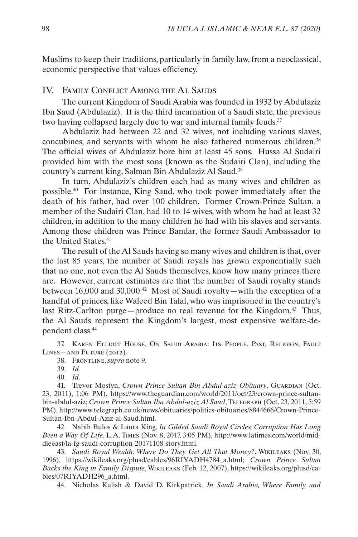<span id="page-11-0"></span>Muslims to keep their traditions, particularly in family law, from a neoclassical, economic perspective that values efficiency.

## IV. Family Conflict Among the Al Sauds

The current Kingdom of Saudi Arabia was founded in 1932 by Abdulaziz Ibn Saud (Abdulaziz). It is the third incarnation of a Saudi state, the previous two having collapsed largely due to war and [internal family feuds.](http://a.co/9NwvCBQ)<sup>37</sup>

Abdulaziz had between [22](https://en.wikipedia.org/wiki/Ibn_Saud) and [32 wives](http://www.independent.co.uk/news/obituaries/crown-prince-sultan-bin-abdul-aziz-al-saud-heir-to-the-throne-of-saudi-arabia-2375837.html), not including various slaves, concubines, and servants with whom he also fathered numerous children.38 The official wives of Abdulaziz bore him [at least 45 sons](https://www.pbs.org/wgbh/pages/frontline/shows/saud/tree/). Hussa Al Sudairi provided him with the most sons (known as the Sudairi Clan), including the country's current king, Salman Bin Abdulaziz Al Saud.39

In turn, Abdulaziz's children each had [as many wives and children as](https://www.pbs.org/wgbh/pages/frontline/shows/saud/tree/) [possible.](https://www.pbs.org/wgbh/pages/frontline/shows/saud/tree/) 40 For instance, King Saud, who took power immediately after the death of his father, had over 100 children. Former Crown-Prince Sultan, a member of the Sudairi Clan, [had 10](https://www.theguardian.com/world/2011/oct/23/crown-prince-sultan-bin-abdul-aziz) to 14 wives, with whom he had at least [32](http://www.telegraph.co.uk/news/obituaries/politics-obituaries/8844666/Crown-Prince-Sultan-Ibn-Abdul-Aziz-al-Saud.html) [children](http://www.telegraph.co.uk/news/obituaries/politics-obituaries/8844666/Crown-Prince-Sultan-Ibn-Abdul-Aziz-al-Saud.html), in addition to the many children he had with his slaves and servants. Among these children was Prince Bandar, the former Saudi Ambassador to the United States.<sup>41</sup>

The result of the Al Sauds having so many wives and children is that, over the last 85 years, the number of Saudi royals has grown exponentially such that no one, not even the Al Sauds themselves, know how many princes there are. However, current estimates are that the number of Saudi royalty [stands](http://www.latimes.com/world/middleeast/la-fg-saudi-corruption-20171108-story.html)  [between 16,000 and 30,000.](http://www.latimes.com/world/middleeast/la-fg-saudi-corruption-20171108-story.html) 42 Most of Saudi royalty—with the exception of a handful of princes, like Waleed Bin Talal, who was imprisoned in the country's last Ritz-Carlton purge—[produce no real revenue for the Kingdom](https://wikileaks.org/plusd/cables/96RIYADH4784_a.html). 43 Thus, the Al Sauds represent the Kingdom's largest, most expensive welfare-dependent class.44

37. Karen Elliott House, On Saudi Arabia: Its People, Past, Religion, Fault Lines—and Future (2012).

41. Trevor Mostyn, *Crown Prince Sultan Bin Abdul-aziz Obituary*, GUARDIAN (Oct. 23, 2011), 1:06 PM), https://www.theguardian.com/world/2011/oct/23/crown-prince-sultanbin-abdul-aziz; *Crown Prince Sultan Ibn Abdul-aziz Al Saud*, Telegraph (Oct. 23, 2011, 5:59 PM), http://www.telegraph.co.uk/news/obituaries/politics-obituaries/8844666/Crown-Prince-Sultan-Ibn-Abdul-Aziz-al-Saud.html.

42. Nabih Bulos & Laura King, *In Gilded Saudi Royal Circles, Corruption Has Long Been a Way Of Life*, L.A. Times (Nov. 8, 2017, 3:05 PM), http://www.latimes.com/world/middleeast/la-fg-saudi-corruption-20171108-story.html.

43. *Saudi Royal Wealth: Where Do They Get All That Money?*, Wikileaks (Nov. 30, 1996), https://wikileaks.org/plusd/cables/96RIYADH4784\_a.html; *Crown Prince Sultan Backs the King in Family Dispute*, Wikileaks (Feb. 12, 2007), https://wikileaks.org/plusd/cables/07RIYADH296\_a.html.

44. Nicholas Kulish & David D. Kirkpatrick, *In Saudi Arabia, Where Family and* 

<sup>38.</sup> Frontline, *supra* note 9.

<sup>39.</sup> *Id.*

<sup>40.</sup> *[Id.](https://www.pbs.org/wgbh/pages/frontline/shows/saud/tree/)*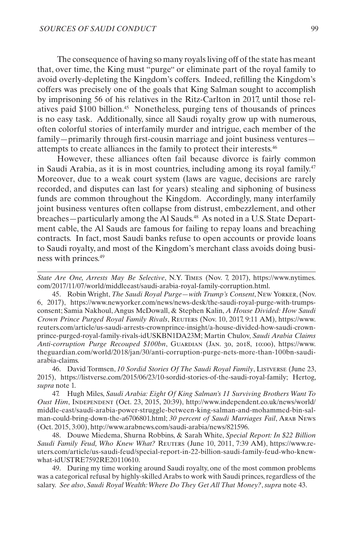The consequence of having so many royals living off of the state has meant that, over time, the King must "[purge](https://www.newyorker.com/news/news-desk/the-saudi-royal-purge-with-trumps-consent)" or eliminate [part of the royal family](https://www.reuters.com/article/us-saudi-arrests-crownprince-insight/a-house-divided-how-saudi-crown-prince-purged-royal-family-rivals-idUSKBN1DA23M) to avoid overly-depleting the Kingdom's coffers. Indeed, refilling the Kingdom's coffers was precisely one of the goals that King Salman sought to accomplish by imprisoning 56 of his relatives in the Ritz-Carlton in 2017, until those relatives paid \$100 billion.45 Nonetheless, purging tens of thousands of princes is no easy task. Additionally, since all Saudi royalty grow up with numerous, often [colorful stories](https://listverse.com/2015/06/23/10-sordid-stories-of-the-saudi-royal-family/) of interfamily murder and intrigue, each member of the family—primarily through first-cousin marriage and joint business ventures attempts to create alliances in the family to protect their interests.46

However, [these alliances often fail](http://www.independent.co.uk/news/world/middle-east/saudi-arabia-power-struggle-between-king-salman-and-mohammed-bin-salman-could-bring-down-the-a6706801.html) because [divorce is fairly common](http://www.arabnews.com/saudi-arabia/news/821596)  [in Saudi](http://www.arabnews.com/saudi-arabia/news/821596) Arabia, as it is in most countries, including among its royal family.47 Moreover, due to a weak court system (laws are vague, decisions are rarely recorded, and disputes can last for years) stealing and siphoning of business funds are common throughout the Kingdom. Accordingly, many interfamily joint business ventures often collapse from [distrust, embezzlement, and other](https://www.reuters.com/article/us-saudi-feud/special-report-in-22-billion-saudi-family-feud-who-knew-what-idUSTRE7592RE20110610)  [breaches](https://www.reuters.com/article/us-saudi-feud/special-report-in-22-billion-saudi-family-feud-who-knew-what-idUSTRE7592RE20110610)—particularly among the Al Sauds.48 As noted in a U.S. State Department cable, the Al Sauds are famous for failing to repay loans and breaching contracts. In fact, most Saudi banks refuse to open accounts or provide loans to Saudi royalty, and most of the Kingdom's merchant class avoids doing business with princes.49

*State Are One, Arrests May Be Selective*, N.Y. Times (Nov. 7, 2017), https://www.nytimes. com/2017/11/07/world/middleeast/saudi-arabia-royal-family-corruption.html.

45. Robin Wright, *The Saudi Royal Purge—with Trump's Consent*, New Yorker, (Nov. 6, 2017), https://www.newyorker.com/news/news-desk/the-saudi-royal-purge-with-trumpsconsent; Samia Nakhoul, Angus McDowall, & Stephen Kalin, *A House Divided: How Saudi Crown Prince Purged Royal Family Rivals*, Reuters (Nov. 10, 2017, 9:11 AM), https://www. reuters.com/article/us-saudi-arrests-crownprince-insight/a-house-divided-how-saudi-crownprince-purged-royal-family-rivals-idUSKBN1DA23M; Martin Chulov, *Saudi Arabia Claims Anti-corruption Purge Recouped \$100bn*, Guardian (Jan. 30, 2018, 10:00), https://www. theguardian.com/world/2018/jan/30/anti-corruption-purge-nets-more-than-100bn-saudiarabia-claims.

46. David Tormsen, *10 Sordid Stories Of The Saudi Royal Family*, Listverse (June 23, 2015), https://listverse.com/2015/06/23/10-sordid-stories-of-the-saudi-royal-family; Hertog, *supra* note 1.

47. Hugh Miles, *Saudi Arabia: Eight Of King Salman's 11 Surviving Brothers Want To Oust Him*, Independent (Oct. 23, 2015, 20:39), http://www.independent.co.uk/news/world/ middle-east/saudi-arabia-power-struggle-between-king-salman-and-mohammed-bin-salman-could-bring-down-the-a6706801.html; *30 percent of Saudi Marriages Fail*, Arab News (Oct. 2015, 3:00), http://www.arabnews.com/saudi-arabia/news/821596.

48. Douwe Miedema, Shurna Robbins, & Sarah White, *Special Report: In \$22 Billion*  Saudi Family Feud, Who Knew What? REUTERS (June 10, 2011, 7:39 AM), https://www.reuters.com/article/us-saudi-feud/special-report-in-22-billion-saudi-family-feud-who-knewwhat-idUSTRE7592RE20110610.

49. During my time working around Saudi royalty, one of the most common problems was a categorical refusal by highly-skilled Arabs to work with Saudi princes, regardless of the salary. *See also*, *Saudi Royal Wealth: Where Do They Get All That Money?*, *supra* note 43.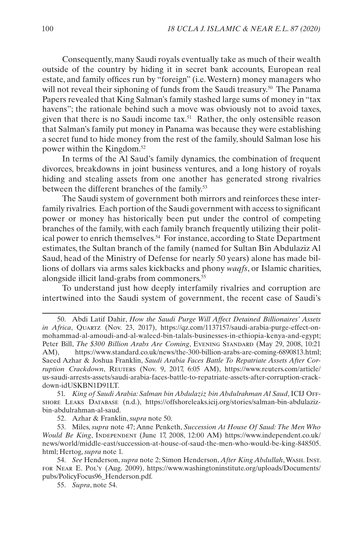Consequently, many Saudi royals [eventually take as much of their wealth](https://www.reuters.com/article/us-saudi-arrests-assets/saudi-arabia-faces-battle-to-repatriate-assets-after-corruption-crackdown-idUSKBN1D91LT) [outside of the country](https://www.reuters.com/article/us-saudi-arrests-assets/saudi-arabia-faces-battle-to-repatriate-assets-after-corruption-crackdown-idUSKBN1D91LT) by hiding it in secret bank accounts, European real estate, and family offices run by "foreign" (i.e. Western) money managers who will not reveal their siphoning of funds from the Saudi treasury.<sup>50</sup> The Panama Papers revealed that King Salman's family stashed large sums of money in "tax havens"; the rationale behind such a move was obviously not to avoid taxes, given that there is no Saudi income tax.51 Rather, the only ostensible reason that Salman's family put money in Panama was because they were establishing a secret fund to hide money from the rest of the family, should Salman lose his power within the Kingdom.52

In terms of the Al Saud's family dynamics, the combination of frequent divorces, breakdowns in joint business ventures, and a long history of royals hiding and stealing assets from one another has generated strong [rivalries](http://www.independent.co.uk/news/world/middle-east/saudi-arabia-power-struggle-between-king-salman-and-mohammed-bin-salman-could-bring-down-the-a6706801.html) between the different branches of the family.<sup>53</sup>

The Saudi system of government both mirrors and reinforces these interfamily rivalries. Each portion of the Saudi government with access to significant power or money has historically been put under the control o[f competing](https://www.washingtoninstitute.org/uploads/Documents/pubs/PolicyFocus96_Henderson.pdf) [branches of the family](https://www.washingtoninstitute.org/uploads/Documents/pubs/PolicyFocus96_Henderson.pdf), with [each family branch frequently utilizing their polit](https://wikileaks.org/plusd/cables/07RIYADH296_a.html)[ical power to enrich themselves.5](https://wikileaks.org/plusd/cables/07RIYADH296_a.html)4 For instance, according to State Department estimates, the Sultan branch of the family (named for Sultan Bin Abdulaziz Al Saud, head of the Ministry of Defense for nearly 50 years) alone has made billions of dollars via arms sales kickbacks and phony *[waqfs](https://wikileaks.org/plusd/cables/96RIYADH4784_a.html)*, or Islamic charities, alongside illicit land-grabs from commoners.55

To understand just how deeply interfamily rivalries and corruption are intertwined into the Saudi system of government, the recent case of Saudi's

51. *King of Saudi Arabia: Salman bin Abdulaziz bin Abdulrahman Al Saud*, ICIJ Offshore Leaks Database (n.d.), https://offshoreleaks.icij.org/stories/salman-bin-abdulazizbin-abdulrahman-al-saud.

52. Azhar & Franklin, *supra* note 50.

53. Miles, *supra* note 47; Anne Penketh, *Succession At House Of Saud: The Men Who Would Be King*, INDEPENDENT (June 17, 2008, 12:00 AM) https://www.independent.co.uk/ news/world/middle-east/succession-at-house-of-saud-the-men-who-would-be-king-848505. html; Hertog, *supra* note 1.

54. *See* Henderson, *supra* note 2; Simon Henderson, *After King Abdullah*, Wash. Inst. for Near E. Pol'y (Aug. 2009), https://www.washingtoninstitute.org/uploads/Documents/ pubs/PolicyFocus96\_Henderson.pdf.

55. *Supra*, note 54.

<sup>50.</sup> Abdi Latif Dahir, *How the Saudi Purge Will Affect Detained Billionaires' Assets in Africa*, Quartz (Nov. 23, 2017), https://qz.com/1137157/saudi-arabia-purge-effect-onmohammad-al-amoudi-and-al-waleed-bin-talals-businesses-in-ethiopia-kenya-and-egypt; Peter Bill, *The \$300 Billion Arabs Are Coming*, Evening STANDARD (May 29, 2008, 10:21 AM), https://www.standard.co.uk/news/the-300-billion-arabs-are-coming-6890813.html; Saeed Azhar & Joshua Franklin, *Saudi Arabia Faces Battle To Repatriate Assets After Corruption Crackdown*, REUTERS (Nov. 9, 2017, 6:05 AM), [ht](https://www.reuters.com/article/us-saudi-arrests-assets/saudi-arabia-faces-battle-to-repatriate-assets-after-corruption-crackdown-idUSKBN1D91LT)tps://www.reuters.com/article/ us-saudi-arrests-assets/saudi-arabia-faces-battle-to-repatriate-assets-after-corruption-crackdown-idUSKBN1D91LT.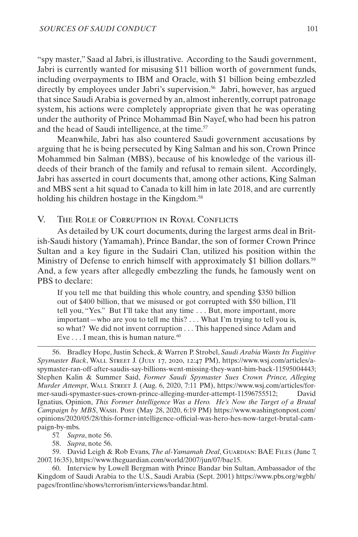<span id="page-14-0"></span>"spy master," Saad al Jabri, is illustrative. According to the Saudi government, Jabri is currently wanted for misusing \$11 billion worth of government funds, including overpayments to IBM and Oracle, with \$1 billion being embezzled directly by employees under Jabri's supervision.<sup>56</sup> Jabri, however, has argued that since Saudi Arabia is governed by an, almost inherently, corrupt patronage system, his actions were completely appropriate given that he was operating under the authority of Prince Mohammad Bin Nayef, who had been his patron and the head of Saudi intelligence, at the time.<sup>57</sup>

Meanwhile, Jabri has also countered Saudi government accusations by arguing that he is being persecuted by King Salman and his son, Crown Prince Mohammed bin Salman (MBS), because of his knowledge of the various illdeeds of their branch of the family and refusal to remain silent. Accordingly, Jabri has asserted in court documents that, among other actions, King Salman and MBS sent a hit squad to Canada to kill him in late 2018, and are currently holding his children hostage in the Kingdom.<sup>58</sup>

V. The Role of Corruption in Royal Conflicts

As detailed by UK court documents, during the largest arms deal in British-Saudi history (Yamamah), Prince Bandar, the son of former Crown Prince Sultan and a key figure in the Sudairi Clan, utilized his position within the Ministry of Defense to enrich himself with approximately \$1 billion dollars.<sup>59</sup> And, a few years after allegedly embezzling the funds, he [famously went on](https://www.pbs.org/wgbh/pages/frontline/shows/terrorism/interviews/bandar.html)  [PBS to declare](https://www.pbs.org/wgbh/pages/frontline/shows/terrorism/interviews/bandar.html):

If you tell me that building this whole country, and spending \$350 billion out of \$400 billion, that we misused or got corrupted with \$50 billion, I'll tell you, "Yes." But I'll take that any time . . . But, more important, more important—who are you to tell me this? . . . What I'm trying to tell you is, so what? We did not invent corruption . . . This happened since Adam and Eve . . . I mean, this is human nature*.* 60

56. Bradley Hope, Justin Scheck, & Warren P. Strobel, *Saudi Arabia Wants Its Fugitive Spymaster Back*, Wall Street J. (July 17, 2020, 12:47 PM), https://www.wsj.com/articles/aspymaster-ran-off-after-saudis-say-billions-went-missing-they-want-him-back-11595004443; Stephen Kalin & Summer Said, *Former Saudi Spymaster Sues Crown Prince, Alleging Murder Attempt*, Wall Street J. (Aug. 6, 2020, 7:11 PM), https://www.wsj.com/articles/former-saudi-spymaster-sues-crown-prince-alleging-murder-attempt-11596755512; David Ignatius, Opinion, *This Former Intelligence Was a Hero. He's Now the Target of a Brutal Campaign by MBS*, Wash. Post (May 28, 2020, 6:19 PM) https://www.washingtonpost.com/ opinions/2020/05/28/this-former-intelligence-official-was-hero-hes-now-target-brutal-campaign-by-mbs.

57. *Supra*, note 56.

58. *Supra*, note 56.

59. David Leigh & Rob Evans, *The al-Yamamah Deal*, GUARDIAN: BAE FILES (June 7, 2007, 16:35), https://www.theguardian.com/world/2007/jun/07/bae15.

60. Interview by Lowell Bergman with Prince Bandar bin Sultan, Ambassador of the Kingdom of Saudi Arabia to the U.S., Saudi Arabia (Sept. 2001) https://www.pbs.org/wgbh/ pages/frontline/shows/terrorism/interviews/bandar.html.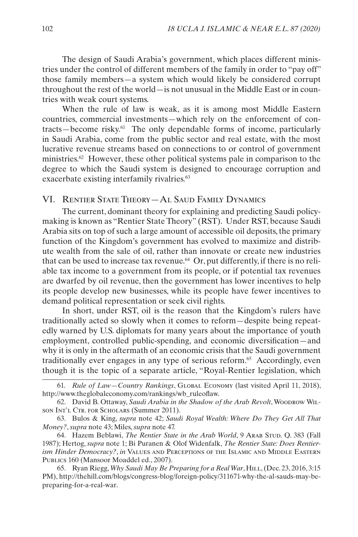<span id="page-15-0"></span>The design of Saudi Arabia's government, which places different ministries under the control of different members of the family in order to "pay off" those family members—a system which would likely be considered corrupt throughout the rest of the world—is not unusual in the Middle East or in countries with weak court systems.

When [the rule of law is weak, as it is among most Middle Eastern](http://www.theglobaleconomy.com/rankings/wb_ruleoflaw/) [countries,](http://www.theglobaleconomy.com/rankings/wb_ruleoflaw/) commercial investments—which rely on the enforcement of contracts—become risky.61 The only dependable forms of income, particularly in Saudi Arabia, come from the [public sector](https://www.wilsoncenter.org/sites/default/files/Saudi%20Arabia%20in%20the%20Shadow%20of%20the%20Arab%20Revolt_0.pdf) and real estate, with the most lucrative revenue streams based on connections to or control of government ministries.62 However, these other political systems pale in comparison to the degree to which the Saudi system [is designed to encourage corruption](https://wikileaks.org/plusd/cables/96RIYADH4784_a.html) and exacerbate existing [interfamily rivalries](http://www.independent.co.uk/news/world/middle-east/saudi-arabia-power-struggle-between-king-salman-and-mohammed-bin-salman-could-bring-down-the-a6706801.html). 63

## VI. Rentier State Theory—Al Saud Family Dynamics

The current, dominant theory for explaining and predicting Saudi policymaking is known as "Rentier State Theory" (RST). Under RST, because Saudi Arabia sits on top of such a large amount of accessible oil deposits, the primary function of the Kingdom's government has evolved to maximize and distribute wealth from the sale of oil, rather than innovate or create new industries that can be used to increase tax revenue.<sup>64</sup> Or, put differently, if there is no reliable tax income to a government from its people, or if potential tax revenues are dwarfed by oil revenue, then the government has lower incentives to help its people develop new businesses, while its people have fewer incentives to demand political representation or seek civil rights.

In short, under RST, oil is the reason that the Kingdom's rulers have traditionally acted so slowly when it comes to reform—despite being repeatedly warned by U.S. diplomats for many years about the importance of youth employment, controlled public-spending, and economic diversification—and why it is only in the aftermath of an economic crisis that the Saudi government traditionally ever engages in any type of serious reform.<sup>65</sup> Accordingly, even though it is the topic of a separate article, "Royal-Rentier legislation, which

<sup>61.</sup> *Rule of Law—Country Rankings*, Global Economy (last visited April 11, 2018), http://www.theglobaleconomy.com/rankings/wb\_ruleoflaw.

<sup>62.</sup> David B. Ottaway, *Saudi Arabia in the Shadow of the Arab Revolt*, Woodrow Wil-SON INT'L CTR. FOR SCHOLARS (Summer 2011).

<sup>63.</sup> Bulos & King, *supra* note 42; *Saudi Royal Wealth: Where Do They Get All That Money?*, *supra* note 43; Miles, *supra* note 47.

<sup>64.</sup> Hazem Beblawi, *The Rentier State in the Arab World*, 9 ARAB STUD. Q. 383 (Fall 1987); Hertog, *supra* note 1; Bi Puranen & Olof Widenfalk, *The Rentier State: Does Rentierism Hinder Democracy?*, *in* Values and Perceptions of the Islamic and Middle Eastern PUBLICS 160 (Mansoor Moaddel ed., 2007).

<sup>65.</sup> Ryan Riegg, *Why Saudi May Be Preparing for a Real War*, Hill, (Dec. 23, 2016, 3:15 PM), http://thehill.com/blogs/congress-blog/foreign-policy/311671-why-the-al-sauds-may-bepreparing-for-a-real-war.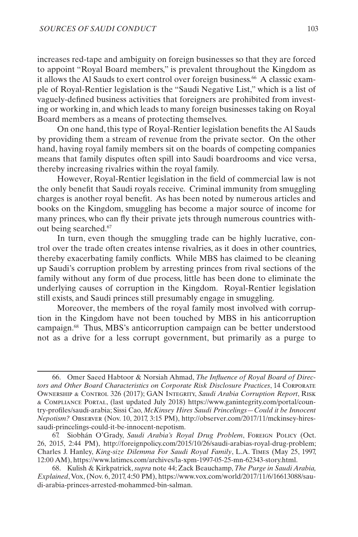increases red-tape and ambiguity on foreign businesses so that they are forced to appoint "Royal Board members," is prevalent throughout the Kingdom as it allows the Al Sauds to exert control over foreign business.<sup>66</sup> A classic example of Royal-Rentier legislation is the "Saudi Negative List," which is a list of vaguely-defined business activities that foreigners are prohibited from investing or working in, and which leads to many foreign businesses taking on Royal Board members as a means of protecting themselves.

On one hand, this type of Royal-Rentier legislation benefits the Al Sauds by providing them a stream of revenue from the private sector. On the other hand, having royal family members sit on the boards of competing companies means that family disputes often spill into Saudi boardrooms and vice versa, thereby increasing rivalries within the royal family.

However, Royal-Rentier legislation in the field of commercial law is not the only benefit that Saudi royals receive. Criminal immunity from [smuggling](http://foreignpolicy.com/2015/10/26/saudi-arabias-royal-drug-problem/) charges is another royal benefit. As has been noted by numerous articles and books on the Kingdom, smuggling has become a major source of income for many princes[, who can fly their private jets through numerous countries with](http://articles.latimes.com/1997-05-25/news/mn-62343_1_saudi-royal-family)[out being searched.](http://articles.latimes.com/1997-05-25/news/mn-62343_1_saudi-royal-family)67

In turn, even though the smuggling trade can be highly lucrative, control over the trade often creates intense rivalries, as it does in other countries, thereby exacerbating family conflicts. While MBS has claimed to be cleaning up Saudi's corruption problem by arresting princes from rival sections of the family without any form of due process, little has been done to eliminate the underlying causes of corruption in the Kingdom. Royal-Rentier legislation still exists, and Saudi princes still presumably engage in smuggling.

Moreover, the members of the royal family most involved with corruption in the Kingdom have not been touched by MBS in his anticorruption campaign.68 Thus, MBS's anticorruption campaign can be better understood not as a drive for a less corrupt government, but primarily as a purge to

<sup>66.</sup> Omer Saeed Habtoor & Norsiah Ahmad, *The Influence of Royal Board of Directors and Other Board Characteristics on Corporate Risk Disclosure Practices*, 14 Corporate Ownership & Control 326 (2017); GAN Integrity, *Saudi Arabia Corruption Report*, Risk & Compliance Portal, (last updated July 2018) https://www.ganintegrity.com/portal/country-profiles/saudi-arabia; Sissi Cao, *McKinsey Hires Saudi Princelings—Could it be Innocent Nepotism?* Observer (Nov. 10, 2017, 3:15 PM), http://observer.com/2017/11/mckinsey-hiressaudi-princelings-could-it-be-innocent-nepotism.

<sup>67.</sup> Siobhán O'Grady, *Saudi Arabia's Royal Drug Problem*, Foreign Policy (Oct. 26, 2015, 2:44 PM), http://foreignpolicy.com/2015/10/26/saudi-arabias-royal-drug-problem; Charles J. Hanley, *King-size Dilemma For Saudi Royal Family*, L.A. Times (May 25, 1997, 12:00 AM), https://www.latimes.com/archives/la-xpm-1997-05-25-mn-62343-story.html.

<sup>68.</sup> Kulish & Kirkpatrick, *supra* note 44; Zack Beauchamp, *The Purge in Saudi Arabia, Explained*, Vox, (Nov. 6, 2017, 4:50 PM), https://www.vox.com/world/2017/11/6/16613088/saudi-arabia-princes-arrested-mohammed-bin-salman.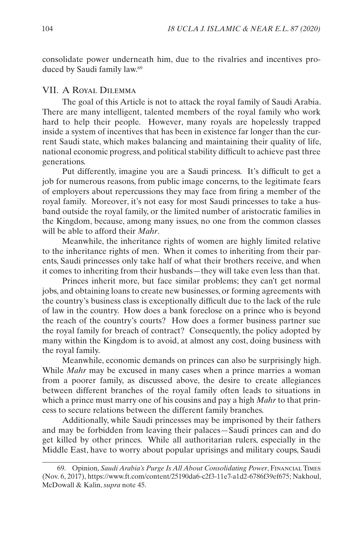<span id="page-17-0"></span>consolidate power underneath him, due to the rivalries and incentives produced by Saudi family law.69

#### VII. A Royal Dilemma

The goal of this Article is not to attack the royal family of Saudi Arabia. There are many intelligent, talented members of the royal family who work hard to help their people. However, many royals are hopelessly trapped inside a system of incentives that has been in existence far longer than the current Saudi state, which makes balancing and maintaining their quality of life, national economic progress, and political stability difficult to achieve past three generations.

Put differently, imagine you are a Saudi princess. It's difficult to get a job for numerous reasons, from public image concerns, to the legitimate fears of employers about repercussions they may face from firing a member of the royal family. Moreover, it's not easy for most Saudi princesses to take a husband outside the royal family, or the limited number of aristocratic families in the Kingdom, because, among many issues, no one from the common classes will be able to afford their *Mahr*.

Meanwhile, the inheritance rights of women are highly limited relative to the inheritance rights of men. When it comes to inheriting from their parents, Saudi princesses only take half of what their brothers receive, and when it comes to inheriting from their husbands—they will take even less than that.

Princes inherit more, but face similar problems; they can't get normal jobs, and obtaining loans to create new businesses, or forming agreements with the country's business class is exceptionally difficult due to the lack of the rule of law in the country. How does a bank foreclose on a prince who is beyond the reach of the country's courts? How does a former business partner sue the royal family for breach of contract? Consequently, the policy adopted by many within the Kingdom is to avoid, at almost any cost, doing business with the royal family.

Meanwhile, economic demands on princes can also be surprisingly high. While *Mahr* may be excused in many cases when a prince marries a woman from a poorer family, as discussed above, the desire to create allegiances between different branches of the royal family often leads to situations in which a prince must marry one of his cousins and pay a high *Mahr* to that princess to secure relations between the different family branches.

Additionally, while Saudi princesses may be imprisoned by their fathers and may be forbidden from leaving their palaces—Saudi princes can and do get killed by other princes. While all authoritarian rulers, especially in the Middle East, have to worry about popular uprisings and military coups, Saudi

<sup>69.</sup> Opinion, *Saudi Arabia's Purge Is All About Consolidating Power*, Financial Times (Nov. 6, 2017), https://www.ft.com/content/25190da6-c2f3-11e7-a1d2-6786f39ef675; Nakhoul, McDowall & Kalin, *supra* note 45.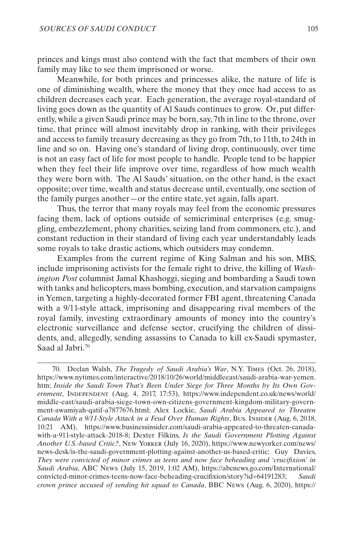princes and kings must also contend with the fact that members of their own family may like to see them imprisoned or worse.

Meanwhile, for both princes and princesses alike, the nature of life is one of diminishing wealth, where the money that they once had access to as children decreases each year. Each generation, the average royal-standard of living goes down as the quantity of Al Sauds continues to grow. Or, put differently, while a given Saudi prince may be born, say, 7th in line to the throne, over time, that prince will almost inevitably drop in ranking, with their privileges and access to family treasury decreasing as they go from 7th, to 11th, to 24th in line and so on. Having one's standard of living drop, continuously, over time is not an easy fact of life for most people to handle. People tend to be happier when they feel their life improve over time, regardless of how much wealth they were born with. The Al Sauds' situation, on the other hand, is the exact opposite; over time, wealth and status decrease until, eventually, one section of the family purges another—or the entire state, yet again, falls apart.

Thus, the terror that many royals may feel from the economic pressures facing them, lack of options outside of semicriminal enterprises (e.g. smuggling, embezzlement, phony charities, seizing land from commoners, etc.), and constant reduction in their standard of living each year understandably leads some royals to take drastic actions, which outsiders may condemn.

Examples from the current regime of King Salman and his son, MBS, include imprisoning activists for the female right to drive, the killing of *Washington Post* columnist Jamal Khashoggi, sieging and bombarding a Saudi town with tanks and helicopters, mass bombing, execution, and starvation campaigns in Yemen, targeting a highly-decorated former FBI agent, threatening Canada with a 9/11-style attack, imprisoning and disappearing rival members of the royal family, investing extraordinary amounts of money into the country's electronic surveillance and defense sector, crucifying the children of dissidents, and, allegedly, sending assassins to Canada to kill ex-Saudi spymaster, Saad al Jabri.70

<sup>70.</sup> Declan Walsh, *The Tragedy of Saudi Arabia's War*, N.Y. Times (Oct. 26, 2018), https://www.nytimes.com/interactive/2018/10/26/world/middleeast/saudi-arabia-war-yemen. htm; *Inside the Saudi Town That's Been Under Siege for Three Months by Its Own Government*, Independent (Aug. 4, 2017, 17:53), https://www.independent.co.uk/news/world/ middle-east/saudi-arabia-siege-town-own-citizens-government-kingdom-military-government-awamiyah-qatif-a7877676.html; Alex Lockie, *Saudi Arabia Appeared to Threaten Canada With a 9/11-Style Attack in a Feud Over Human Rights*, Bus. Insider (Aug. 6, 2018, 10:21 AM), https://www.businessinsider.com/saudi-arabia-appeared-to-threaten-canadawith-a-911-style-attack-2018-8; Dexter Filkins, *Is the Saudi Government Plotting Against Another U.S.-based Critic?*, New Yorker (July 16, 2020), https://www.newyorker.com/news/ news-desk/is-the-saudi-government-plotting-against-another-us-based-critic; Guy Davies, *They were convicted of minor crimes as teens and now face beheading and 'crucifixion' in Saudi Arabia*, ABC News (July 15, 2019, 1:02 AM), https://abcnews.go.com/International/ convicted-minor-crimes-teens-now-face-beheading-crucifixion/story?id=64191283; *Saudi crown prince accused of sending hit squad to Canada*, BBC News (Aug. 6, 2020), https://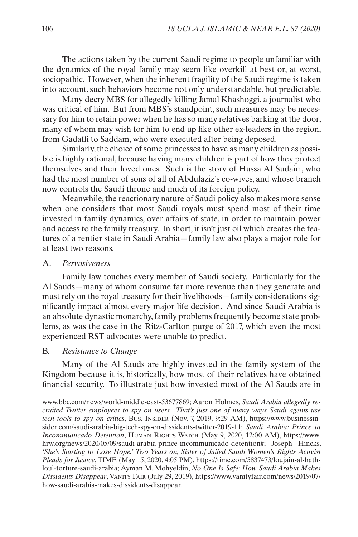<span id="page-19-0"></span>The actions taken by the current Saudi regime to people unfamiliar with the dynamics of the royal family may seem like overkill at best or, at worst, sociopathic. However, when the inherent fragility of the Saudi regime is taken into account, such behaviors become not only understandable, but predictable.

Many decry MBS for allegedly killing Jamal Khashoggi, a journalist who was critical of him. But from MBS's standpoint, such measures may be necessary for him to retain power when he has so many relatives barking at the door, many of whom may wish for him to end up like other ex-leaders in the region, from Gadaffi to Saddam, who were executed after being deposed.

Similarly, the choice of some princesses to have as many children as possible is highly rational, because having many children is part of how they protect themselves and their loved ones. Such is the story of Hussa Al Sudairi, who had the most number of sons of all of Abdulaziz's co-wives, and whose branch now controls the Saudi throne and much of its foreign policy.

Meanwhile, the reactionary nature of Saudi policy also makes more sense when one considers that most Saudi royals must spend most of their time invested in family dynamics, over affairs of state, in order to maintain power and access to the family treasury. In short, it isn't just oil which creates the features of a rentier state in Saudi Arabia—family law also plays a major role for at least two reasons.

#### A. *Pervasiveness*

Family law touches every member of Saudi society. Particularly for the Al Sauds—many of whom consume far more revenue than they generate and must rely on the royal treasury for their livelihoods—family considerations significantly impact almost every major life decision. And since Saudi Arabia is an absolute dynastic monarchy, family problems frequently become state problems, as was the case in the Ritz-Carlton purge of 2017, which even the most experienced RST advocates were unable to predict.

#### B. *Resistance to Change*

Many of the Al Sauds are highly invested in the family system of the Kingdom because it is, historically, how most of their relatives have obtained financial security. To illustrate just how invested most of the Al Sauds are in

www.bbc.com/news/world-middle-east-53677869; Aaron Holmes, *Saudi Arabia allegedly recruited Twitter employees to spy on users. That's just one of many ways Saudi agents use tech tools to spy on critics*, Bus. INSIDER (Nov. 7, 2019, 9:29 AM), https://www.businessinsider.com/saudi-arabia-big-tech-spy-on-dissidents-twitter-2019-11; *Saudi Arabia: Prince in Incommunicado Detention*, Human Rights Watch (May 9, 2020, 12:00 AM), https://www. hrw.org/news/2020/05/09/saudi-arabia-prince-incommunicado-detention#; Joseph Hincks, *'She's Starting to Lose Hope.' Two Years on, Sister of Jailed Saudi Women's Rights Activist Pleads for Justice*, TIME (May 15, 2020, 4:05 PM), https://time.com/5837473/loujain-al-hathloul-torture-saudi-arabia; Ayman M. Mohyeldin, *No One Is Safe: How Saudi Arabia Makes Dissidents Disappear*, Vanity Fair (July 29, 2019), https://www.vanityfair.com/news/2019/07/ how-saudi-arabia-makes-dissidents-disappear.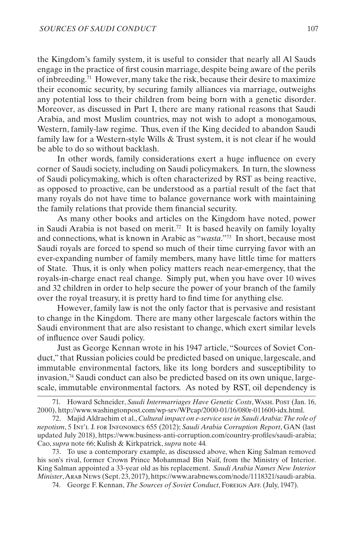the Kingdom's family system, it is useful to consider that nearly all Al Sauds engage in the practice of first cousin marriage, despite being aware of the perils of inbreeding.71 However, many take the risk, because their desire to maximize their economic security, by securing family alliances via marriage, outweighs any potential loss to their children from being born with a genetic disorder. Moreover, as discussed in Part [I,](#page-2-1) there are many rational reasons that Saudi Arabia, and most Muslim countries, may not wish to adopt a monogamous, Western, family-law regime. Thus, even if the King decided to abandon Saudi family law for a Western-style Wills & Trust system, it is not clear if he would be able to do so without backlash.

In other words, family considerations exert a huge influence on every corner of Saudi society, including on Saudi policymakers. In turn, the slowness of Saudi policymaking, which is often characterized by RST as being reactive, as opposed to proactive, can be understood as a partial result of the fact that many royals do not have time to balance governance work with maintaining the family relations that provide them financial security.

As many other books and articles on the Kingdom have noted, power in Saudi Arabia is not based on merit.72 It is based heavily on family loyalty and connections, what is known in Arabic as "*wasta*."73 In short, because most Saudi royals are forced to spend so much of their time currying favor with an ever-expanding number of family members, many have little time for matters of State. Thus, it is only when policy matters reach near-emergency, that the royals-in-charge enact real change. Simply put, when you have over 10 wives and 32 children in order to help secure the power of your branch of the family over the royal treasury, it is pretty hard to find time for anything else.

However, family law is not the only factor that is pervasive and resistant to change in the Kingdom. There are many other largescale factors within the Saudi environment that are also resistant to change, which exert similar levels of influence over Saudi policy.

Just as George Kennan wrote in his 1947 article, "Sources of Soviet Conduct," that Russian policies could be predicted based on unique, largescale, and immutable environmental factors, like its long borders and susceptibility to invasion,74 Saudi conduct can also be predicted based on its own unique, largescale, immutable environmental factors. As noted by RST, oil dependency is

73. To use a contemporary example, as discussed above, when King Salman removed his son's rival, former Crown Prince Mohammad Bin Naif, from the Ministry of Interior. King Salman appointed a 33-year old as his replacement. *Saudi Arabia Names New Interior Minister*, Arab News (Sept. 23, 2017), https://www.arabnews.com/node/1118321/saudi-arabia.

74. George F. Kennan, *The Sources of Soviet Conduct*, Foreign Aff. (July, 1947).

<sup>71.</sup> Howard Schneider, *Saudi Intermarriages Have Genetic Costs*, Wash. Post (Jan. 16, 2000), http://www.washingtonpost.com/wp-srv/WPcap/2000-01/16/080r-011600-idx.html.

<sup>72.</sup> Majid Aldraehim et al., *Cultural impact on e-service use in Saudi Arabia: The role of nepotism*, 5 Int'l J. for Infonomics 655 (2012); *Saudi Arabia Corruption Report*, GAN (last updated July 2018), https://www.business-anti-corruption.com/country-profiles/saudi-arabia; Cao, *supra* note 66; Kulish & Kirkpatrick, *supra* note 44*.*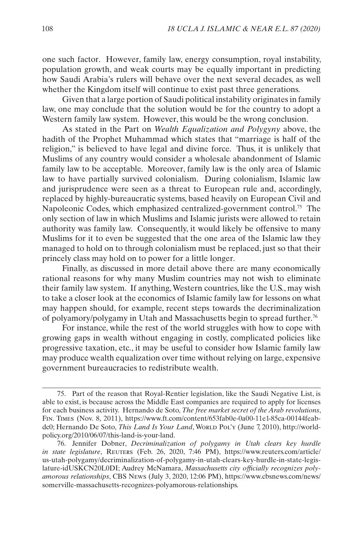one such factor. However, family law, energy consumption, royal instability, population growth, and weak courts may be equally important in predicting how Saudi Arabia's rulers will behave over the next several decades, as well whether the Kingdom itself will continue to exist past three generations.

Given that a large portion of Saudi political instability originates in family law, one may conclude that the solution would be for the country to adopt a Western family law system. However, this would be the wrong conclusion.

As stated in the Part on *Wealth Equalization and Polygyny* above, the hadith of the Prophet Muhammad which states that "marriage is half of the religion," is believed to have legal and divine force. Thus, it is unlikely that Muslims of any country would consider a wholesale abandonment of Islamic family law to be acceptable. Moreover, family law is the only area of Islamic law to have partially survived colonialism. During colonialism, Islamic law and jurisprudence were seen as a threat to European rule and, accordingly, replaced by highly-bureaucratic systems, based heavily on European Civil and Napoleonic Codes, which emphasized centralized-government control.75 The only section of law in which Muslims and Islamic jurists were allowed to retain authority was family law. Consequently, it would likely be offensive to many Muslims for it to even be suggested that the one area of the Islamic law they managed to hold on to through colonialism must be replaced, just so that their princely class may hold on to power for a little longer.

Finally, as discussed in more detail above there are many economically rational reasons for why many Muslim countries may not wish to eliminate their family law system. If anything, Western countries, like the U.S., may wish to take a closer look at the economics of Islamic family law for lessons on what may happen should, for example, recent steps towards the decriminalization of polyamory/polygamy in Utah and Massachusetts begin to spread further.76

For instance, while the rest of the world struggles with how to cope with growing gaps in wealth without engaging in costly, complicated policies like progressive taxation, etc., it may be useful to consider how Islamic family law may produce wealth equalization over time without relying on large, expensive government bureaucracies to redistribute wealth.

<sup>75.</sup> Part of the reason that Royal-Rentier legislation, like the Saudi Negative List, is able to exist, is because across the Middle East companies are required to apply for licenses for each business activity. Hernando de Soto, *The free market secret of the Arab revolutions*, Fin. Times (Nov. 8, 2011), https://www.ft.com/content/653fab0e-0a00-11e1-85ca-00144feabdc0; Hernando De Soto, *This Land Is Your Land*, World Pol'y (June 7, 2010), http://worldpolicy.org/2010/06/07/this-land-is-your-land.

<sup>76.</sup> Jennifer Dobner, *Decriminalization of polygamy in Utah clears key hurdle in state legislature*, Reuters (Feb. 26, 2020, 7:46 PM), https://www.reuters.com/article/ us-utah-polygamy/decriminalization-of-polygamy-in-utah-clears-key-hurdle-in-state-legislature-idUSKCN20L0DI; Audrey McNamara, *Massachusetts city officially recognizes polyamorous relationships*, CBS News (July 3, 2020, 12:06 PM), https://www.cbsnews.com/news/ somerville-massachusetts-recognizes-polyamorous-relationships.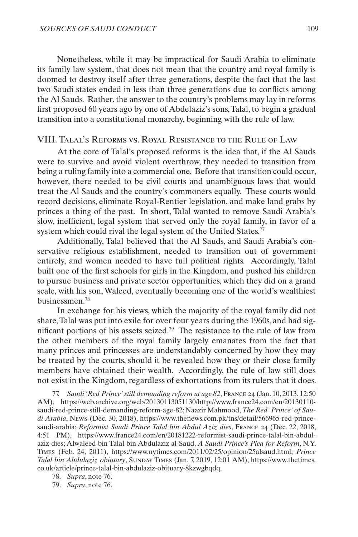<span id="page-22-0"></span>Nonetheless, while it may be impractical for Saudi Arabia to eliminate its family law system, that does not mean that the country and royal family is doomed to destroy itself after three generations, despite the fact that the last two Saudi states ended in less than three generations due to conflicts among the Al Sauds. Rather, the answer to the country's problems may lay in reforms first proposed 60 years ago by one of Abdelaziz's sons, Talal, to begin a gradual transition into a constitutional monarchy, beginning with the rule of law.

#### VIII. Talal's Reforms vs. Royal Resistance to the Rule of Law

At the core of Talal's proposed reforms is the idea that, if the Al Sauds were to survive and avoid violent overthrow, they needed to transition from being a ruling family into a commercial one. Before that transition could occur, however, there needed to be civil courts and unambiguous laws that would treat the Al Sauds and the country's commoners equally. These courts would record decisions, eliminate Royal-Rentier legislation, and make land grabs by princes a thing of the past. In short, Talal wanted to remove Saudi Arabia's slow, inefficient, legal system that served only the royal family, in favor of a system which could rival the legal system of the United States.<sup>77</sup>

Additionally, Talal believed that the Al Sauds, and Saudi Arabia's conservative religious establishment, needed to transition out of government entirely, and women needed to have full political rights. Accordingly, Talal built one of the first schools for girls in the Kingdom, and pushed his children to pursue business and private sector opportunities, which they did on a grand scale, with his son, Waleed, eventually becoming one of the world's wealthiest businessmen.78

In exchange for his views, which the majority of the royal family did not share, Talal was put into exile for over four years during the 1960s, and had significant portions of his assets seized.79 The resistance to the rule of law from the other members of the royal family largely emanates from the fact that many princes and princesses are understandably concerned by how they may be treated by the courts, should it be revealed how they or their close family members have obtained their wealth. Accordingly, the rule of law still does not exist in the Kingdom, regardless of exhortations from its rulers that it does.

<sup>77.</sup> *Saudi 'Red Prince' still demanding reform at age 82*, France 24 (Jan. 10, 2013, 12:50 AM), https://web.archive.org/web/20130113051130/http://www.france24.com/en/20130110 saudi-red-prince-still-demanding-reform-age-82; Naazir Mahmood, *The Red' Prince' of Saudi Arabia*, News (Dec. 30, 2018), https://www.thenews.com.pk/tns/detail/566965-red-princesaudi-arabia; *Reformist Saudi Prince Talal bin Abdul Aziz dies*, France 24 (Dec. 22, 2018, 4:51 PM), https://www.france24.com/en/20181222-reformist-saudi-prince-talal-bin-abdulaziz-dies; Alwaleed bin Talal bin Abdulaziz al-Saud, *A Saudi Prince's Plea for Reform*, N.Y. Times (Feb. 24, 2011), https://www.nytimes.com/2011/02/25/opinion/25alsaud.html; *Prince Talal bin Abdulaziz obituary*, SUNDAY TIMES (Jan. 7, 2019, 12:01 AM), https://www.thetimes. co.uk/article/prince-talal-bin-abdulaziz-obituary-8kzwgbqdq.

<sup>78.</sup> *Supra*, note 76.

<sup>79.</sup> *Supra*, note 76.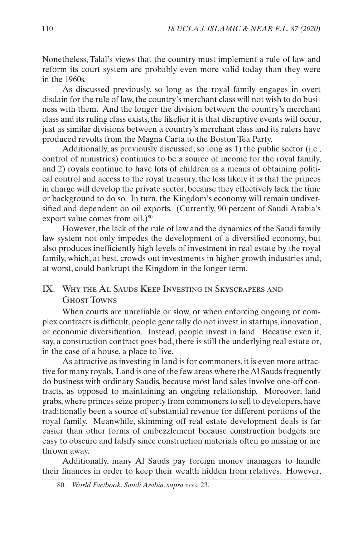<span id="page-23-0"></span>Nonetheless, Talal's views that the country must implement a rule of law and reform its court system are probably even more valid today than they were in the 1960s.

As discussed previously, so long as the royal family engages in overt disdain for the rule of law, the country's merchant class will not wish to do business with them. And the longer the division between the country's merchant class and its ruling class exists, the likelier it is that disruptive events will occur, just as similar divisions between a country's merchant class and its rulers have produced revolts from the Magna Carta to the Boston Tea Party.

Additionally, as previously discussed, so long as 1) the public sector (i.e., control of ministries) continues to be a source of income for the royal family, and 2) royals continue to have lots of children as a means of obtaining political control and access to the royal treasury, the less likely it is that the princes in charge will develop the private sector, because they effectively lack the time or background to do so. In turn, the Kingdom's economy will remain undiversified and dependent on oil exports. (Currently, 90 percent of Saudi Arabia's export value comes from oil.)<sup>80</sup>

However, the lack of the rule of law and the dynamics of the Saudi family law system not only impedes the development of a diversified economy, but also produces inefficiently high levels of investment in real estate by the royal family, which, at best, crowds out investments in higher growth industries and, at worst, could bankrupt the Kingdom in the longer term.

## IX. Why the Al Sauds Keep Investing in Skyscrapers and Ghost Towns

When courts are unreliable or slow, or when enforcing ongoing or complex contracts is difficult, people generally do not invest in startups, innovation, or economic diversification. Instead, people invest in land. Because even if, say, a construction contract goes bad, there is still the underlying real estate or, in the case of a house, a place to live.

As attractive as investing in land is for commoners, it is even more attractive for many royals. Land is one of the few areas where the Al Sauds frequently do business with ordinary Saudis, because most land sales involve one-off contracts, as opposed to maintaining an ongoing relationship. Moreover, land grabs, where princes seize property from commoners to sell to developers, have traditionally been a source of substantial revenue for different portions of the royal family. Meanwhile, skimming off real estate development deals is far easier than other forms of embezzlement because construction budgets are easy to obscure and falsify since construction materials often go missing or are thrown away.

Additionally, many Al Sauds pay foreign money managers to handle their finances in order to keep their wealth hidden from relatives. However,

<sup>80.</sup> *World Factbook: Saudi Arabia*, *supra* note 23.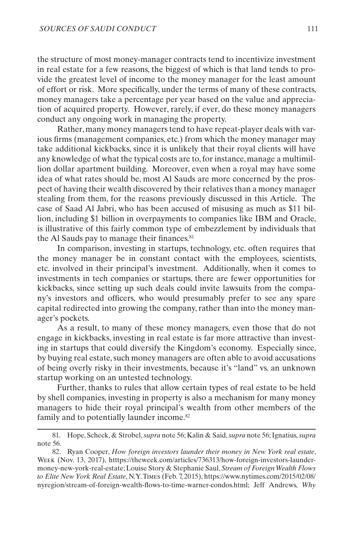the structure of most money-manager contracts tend to incentivize investment in real estate for a few reasons, the biggest of which is that land tends to provide the greatest level of income to the money manager for the least amount of effort or risk. More specifically, under the terms of many of these contracts, money managers take a percentage per year based on the value and appreciation of acquired property. However, rarely, if ever, do these money managers conduct any ongoing work in managing the property.

Rather, many money managers tend to have repeat-player deals with various firms (management companies, etc.) from which the money manager may take additional kickbacks, since it is unlikely that their royal clients will have any knowledge of what the typical costs are to, for instance, manage a multimillion dollar apartment building. Moreover, even when a royal may have some idea of what rates should be, most Al Sauds are more concerned by the prospect of having their wealth discovered by their relatives than a money manager stealing from them, for the reasons previously discussed in this Article. The case of Saad Al Jabri, who has been accused of misusing as much as \$11 billion, including \$1 billion in overpayments to companies like IBM and Oracle, is illustrative of this fairly common type of embezzlement by individuals that the Al Sauds pay to manage their finances.<sup>81</sup>

In comparison, investing in startups, technology, etc. often requires that the money manager be in constant contact with the employees, scientists, etc. involved in their principal's investment. Additionally, when it comes to investments in tech companies or startups, there are fewer opportunities for kickbacks, since setting up such deals could invite lawsuits from the company's investors and officers, who would presumably prefer to see any spare capital redirected into growing the company, rather than into the money manager's pockets.

As a result, to many of these money managers, even those that do not engage in kickbacks, investing in real estate is far more attractive than investing in startups that could diversify the Kingdom's economy. Especially since, by buying real estate, such money managers are often able to avoid accusations of being overly risky in their investments, because it's "land" vs. an unknown startup working on an untested technology.

Further, thanks to rules that allow certain types of real estate to be held by shell companies, investing in property is also a mechanism for many money managers to hide their royal principal's wealth from other members of the family and to potentially launder income.82

<sup>81.</sup> Hope, Scheck, & Strobel, *supra* note 56; Kalin & Said, *supra* note 56; Ignatius, *supra* note 56.

<sup>82.</sup> Ryan Cooper, *How foreign investors launder their money in New York real estate*, Week (Nov. 13, 2017), htttps://theweek.com/articles/736313/how-foreign-investors-laundermoney-new-york-real-estate; Louise Story & Stephanie Saul, *Stream of Foreign Wealth Flows to Elite New York Real Estate*, N.Y. Times (Feb. 7, 2015), https://www.nytimes.com/2015/02/08/ nyregion/stream-of-foreign-wealth-flows-to-time-warner-condos.html; Jeff Andrews, *Why*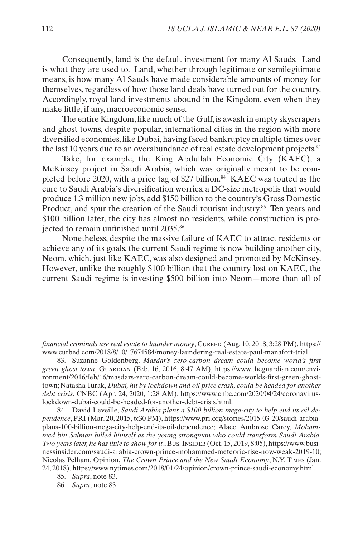Consequently, land is the default investment for many Al Sauds. Land is what they are used to. Land, whether through legitimate or semilegitimate means, is how many Al Sauds have made considerable amounts of money for themselves, regardless of how those land deals have turned out for the country. Accordingly, royal land investments abound in the Kingdom, even when they make little, if any, macroeconomic sense.

The entire Kingdom, like much of the Gulf, is awash in empty skyscrapers and ghost towns, despite popular, international cities in the region with more diversified economies, like Dubai, having faced bankruptcy multiple times over the last 10 years due to an overabundance of real estate development projects.<sup>83</sup>

Take, for example, the King Abdullah Economic City (KAEC), a McKinsey project in Saudi Arabia, which was originally meant to be completed before 2020, with a price tag of \$27 billion.<sup>84</sup> KAEC was touted as the cure to Saudi Arabia's diversification worries, a DC-size metropolis that would produce 1.3 million new jobs, add \$150 billion to the country's Gross Domestic Product, and spur the creation of the Saudi tourism industry.<sup>85</sup> Ten years and \$100 billion later, the city has almost no residents, while construction is projected to remain unfinished until 2035.86

Nonetheless, despite the massive failure of KAEC to attract residents or achieve any of its goals, the current Saudi regime is now building another city, Neom, which, just like KAEC, was also designed and promoted by McKinsey. However, unlike the roughly \$100 billion that the country lost on KAEC, the current Saudi regime is investing \$500 billion into Neom—more than all of

*financial criminals use real estate to launder money*, CURBED (Aug. 10, 2018, 3:28 PM), https:// www.curbed.com/2018/8/10/17674584/money-laundering-real-estate-paul-manafort-trial.

83. Suzanne Goldenberg, *Masdar's zero-carbon dream could become world's first green ghost town*, Guardian (Feb. 16, 2016, 8:47 AM), https://www.theguardian.com/environment/2016/feb/16/masdars-zero-carbon-dream-could-become-worlds-first-green-ghosttown; Natasha Turak, *Dubai, hit by lockdown and oil price crash, could be headed for another debt crisis*, CNBC (Apr. 24, 2020, 1:28 AM), https://www.cnbc.com/2020/04/24/coronaviruslockdown-dubai-could-be-headed-for-another-debt-crisis.html.

84. David Leveille, *Saudi Arabia plans a \$100 billion mega-city to help end its oil dependence*, PRI (Mar. 20, 2015, 6:30 PM), https://www.pri.org/stories/2015-03-20/saudi-arabiaplans-100-billion-mega-city-help-end-its-oil-dependence; Alaco Ambrose Carey, *Mohammed bin Salman billed himself as the young strongman who could transform Saudi Arabia. Two years later, he has little to show for it.*, Bus. Insider (Oct. 15, 2019, 8:05), https://www.businessinsider.com/saudi-arabia-crown-prince-mohammed-meteoric-rise-now-weak-2019-10; Nicolas Pelham, Opinion, *The Crown Prince and the New Saudi Economy*, N.Y. Times (Jan. 24, 2018), https://www.nytimes.com/2018/01/24/opinion/crown-prince-saudi-economy.html.

<sup>85.</sup> *Supra*, note 83.

<sup>86.</sup> *Supra*, note 83.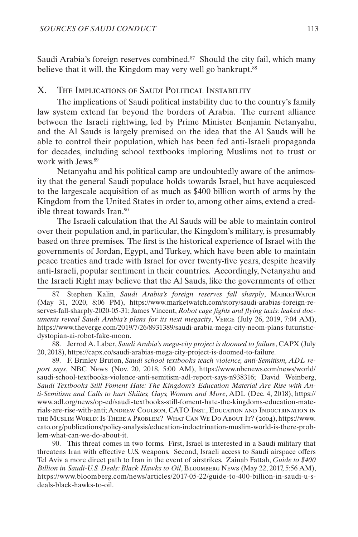<span id="page-26-0"></span>Saudi Arabia's foreign reserves combined.<sup>87</sup> Should the city fail, which many believe that it will, the Kingdom may very well go bankrupt.<sup>88</sup>

## X. The Implications of Saudi Political Instability

The implications of Saudi political instability due to the country's family law system extend far beyond the borders of Arabia. The current alliance between the Israeli rightwing, led by Prime Minister Benjamin Netanyahu, and the Al Sauds is largely premised on the idea that the Al Sauds will be able to control their population, which has been fed anti-Israeli propaganda for decades, including school textbooks imploring Muslims not to trust or work with Jews<sup>89</sup>

Netanyahu and his political camp are undoubtedly aware of the animosity that the general Saudi populace holds towards Israel, but have acquiesced to the largescale acquisition of as much as \$400 billion worth of arms by the Kingdom from the United States in order to, among other aims, extend a credible threat towards Iran.<sup>90</sup>

The Israeli calculation that the Al Sauds will be able to maintain control over their population and, in particular, the Kingdom's military, is presumably based on three premises. The first is the historical experience of Israel with the governments of Jordan, Egypt, and Turkey, which have been able to maintain peace treaties and trade with Israel for over twenty-five years, despite heavily anti-Israeli, popular sentiment in their countries. Accordingly, Netanyahu and the Israeli Right may believe that the Al Sauds, like the governments of other

87. Stephen Kalin, *Saudi Arabia's foreign reserves fall sharply*, MARKETWATCH (May 31, 2020, 8:06 PM), https://www.marketwatch.com/story/saudi-arabias-foreign-reserves-fall-sharply-2020-05-31; James Vincent, *Robot cage fights and flying taxis: leaked documents reveal Saudi Arabia's plans for its next megacity*, Verge (July 26, 2019, 7:04 AM), https://www.theverge.com/2019/7/26/8931389/saudi-arabia-mega-city-neom-plans-futuristicdystopian-ai-robot-fake-moon.

88. Jerrod A. Laber, *Saudi Arabia's mega-city project is doomed to failure*, CAPX (July 20, 2018), https://capx.co/saudi-arabias-mega-city-project-is-doomed-to-failure.

89. F. Brinley Bruton, *Saudi school textbooks teach violence, anti-Semitism, ADL report says*, NBC News (Nov. 20, 2018, 5:00 AM), https://www.nbcnews.com/news/world/ saudi-school-textbooks-violence-anti-semitism-adl-report-says-n938316; David Weinberg, *Saudi Textbooks Still Foment Hate: The Kingdom's Education Material Are Rise with Anti-Semitism and Calls to hurt Shiites, Gays, Women and More*, ADL (Dec. 4, 2018), https:// www.adl.org/news/op-ed/saudi-textbooks-still-foment-hate-the-kingdoms-education-materials-are-rise-with-ant[i](https://www.adl.org/news/op-ed/saudi-textbooks-still-foment-hate-the-kingdoms-education-materials-are-rise-with-anti); Andrew Coulson, CATO Inst., Education and Indoctrination in the Muslim World: Is There a Problem? What Can We Do About It? (2004), https://www. cato.org/publications/policy-analysis/education-indoctrination-muslim-world-is-there-problem-what-can-we-do-about-it.

90. This threat comes in two forms. First, Israel is interested in a Saudi military that threatens Iran with effective U.S. weapons. Second, Israeli access to Saudi airspace offers Tel Aviv a more direct path to Iran in the event of airstrikes. Zainab Fattah, *Guide to \$400 Billion in Saudi-U.S. Deals: Black Hawks to Oil*, Bloomberg News (May 22, 2017, 5:56 AM), https://www.bloomberg.com/news/articles/2017-05-22/guide-to-400-billion-in-saudi-u-sdeals-black-hawks-to-oil.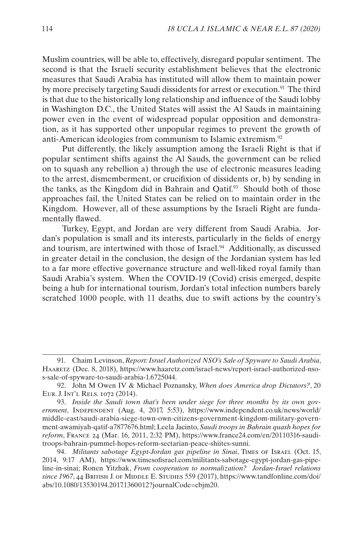Muslim countries, will be able to, effectively, disregard popular sentiment. The second is that the Israeli security establishment believes that the electronic measures that Saudi Arabia has instituted will allow them to maintain power by more precisely targeting Saudi dissidents for arrest or execution.<sup>91</sup> The third is that due to the historically long relationship and influence of the Saudi lobby in Washington D.C., the United States will assist the Al Sauds in maintaining power even in the event of widespread popular opposition and demonstration, as it has supported other unpopular regimes to prevent the growth of anti-American ideologies from communism to Islamic extremism.92

Put differently, the likely assumption among the Israeli Right is that if popular sentiment shifts against the Al Sauds, the government can be relied on to squash any rebellion a) through the use of electronic measures leading to the arrest, dismemberment, or crucifixion of dissidents or, b) by sending in the tanks, as the Kingdom did in Bahrain and Qatif.93 Should both of those approaches fail, the United States can be relied on to maintain order in the Kingdom. However, all of these assumptions by the Israeli Right are fundamentally flawed.

Turkey, Egypt, and Jordan are very different from Saudi Arabia. Jordan's population is small and its interests, particularly in the fields of energy and tourism, are intertwined with those of Israel.<sup>94</sup> Additionally, as discussed in greater detail in the conclusion, the design of the Jordanian system has led to a far more effective governance structure and well-liked royal family than Saudi Arabia's system. When the COVID-19 (Covid) crisis emerged, despite being a hub for international tourism, Jordan's total infection numbers barely scratched 1000 people, with 11 deaths, due to swift actions by the country's

<sup>91.</sup> Chaim Levinson, *Report: Israel Authorized NSO's Sale of Spyware to Saudi Arabia*, Haaretz (Dec. 8, 2018), https://www.haaretz.com/israel-news/report-israel-authorized-nsos-sale-of-spyware-to-saudi-arabia-1.6725044.

<sup>92.</sup> John M Owen IV & Michael Poznansky, *When does America drop Dictators?*, 20 Eur. J. Int'l Rels. 1072 (2014).

<sup>93.</sup> *Inside the Saudi town that's been under siege for three months by its own government*, Independent (Aug. 4, 2017, 5:53), https://www.independent.co.uk/news/world/ middle-east/saudi-arabia-siege-town-own-citizens-government-kingdom-military-government-awamiyah-qatif-a7877676.html; Leela Jacinto, *Saudi troops in Bahrain quash hopes for reform*, France 24 (Mar. 16, 2011, 2:32 PM), https://www.france24.com/en/20110316-sauditroops-bahrain-pummel-hopes-reform-sectarian-peace-shiites-sunni.

<sup>94.</sup> *Militants sabotage Egypt-Jordan gas pipeline in Sinai*, Times of Israel (Oct. 15, 2014, 9:17 AM), https://www.timesofisrael.com/militants-sabotage-egypt-jordan-gas-pipeline-in-sinai; Ronen Yitzhak, *From cooperation to normalization? Jordan-Israel relations*  since 1967, 44 BRITISH J. OF MIDDLE E. STUDIES 559 (2017), https://www.tandfonline.com/doi/ abs/10.1080/13530194.2017.1360012?journalCode=cbjm20.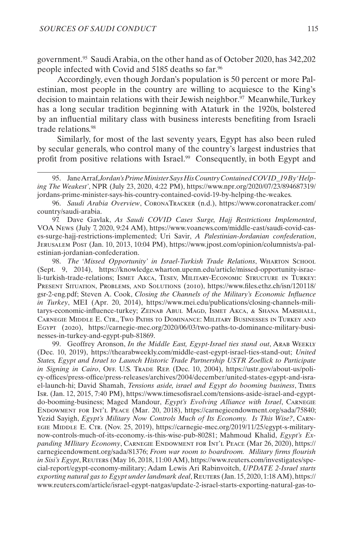government.95 Saudi Arabia, on the other hand as of October 2020, has 342,202 people infected with Covid and 5185 deaths so far.96

Accordingly, even though Jordan's population is 50 percent or more Palestinian, most people in the country are willing to acquiesce to the King's decision to maintain relations with their Jewish neighbor.97 Meanwhile, Turkey has a long secular tradition beginning with Ataturk in the 1920s, bolstered by an influential military class with business interests benefiting from Israeli trade relations.98

Similarly, for most of the last seventy years, Egypt has also been ruled by secular generals, who control many of the country's largest industries that profit from positive relations with Israel.<sup>99</sup> Consequently, in both Egypt and

96. *Saudi Arabia Overview*, CoronaTracker (n.d.), https://www.coronatracker.com/ country/saudi-arabia.

97. Dave Gavlak, *As Saudi COVID Cases Surge, Hajj Restrictions Implemented*, VOA News (July 7, 2020, 9:24 AM), https://www.voanews.com/middle-east/saudi-covid-cases-surge-hajj-restrictions-implemented; Uri Savir, *A Palestinian-Jordanian confederation*, Jerusalem Post (Jan. 10, 2013, 10:04 PM), https://www.jpost.com/opinion/columnists/a-palestinian-jordanian-confederation.

98. *The 'Missed Opportunity' in Israel-Turkish Trade Relations*, Wharton School (Sept. 9, 2014), https://knowledge.wharton.upenn.edu/article/missed-opportunity-israeli-turkish-trade-relations; Ismet Akca, Tesev, Military-Economic Structure in Turkey: Present Situation, Problems, and Solutions (2010), https://www.files.ethz.ch/isn/120118/ gsr-2-eng.pdf; Steven A. Cook, *Closing the Channels of the Military's Economic Influence in Turkey*, MEI (Apr. 20, 2014), https://www.mei.edu/publications/closing-channels-militarys-economic-influence-turkey; Zeinab Abul Magd, Ismet Akca, & Shana Marshall, Carnegie Middle E. Ctr., Two Paths to Dominance: Military Businesses in Turkey and Egypt (2020), https://carnegie-mec.org/2020/06/03/two-paths-to-dominance-military-businesses-in-turkey-and-egypt-pub-81869.

99. Geoffrey Aronson, *In the Middle East, Egypt-Israel ties stand out*, ARAB WEEKLY (Dec. 10, 2019), https://thearabweekly.com/middle-east-egypt-israel-ties-stand-out; *United States, Egypt and Israel to Launch Historic Trade Partnership USTR Zoellick to Participate in Signing in Cairo*, OFF. U.S. Trade Rep. (Dec. 10, 2004), https://ustr.gov/about-us/policy-offices/press-office/press-releases/archives/2004/december/united-states-egypt-and-israel-launch-hi; David Shamah, *Tensions aside, israel and Egypt do booming business*, Times Isr. (Jan. 12, 2015, 7:40 PM), https://www.timesofisrael.com/tensions-aside-israel-and-egyptdo-booming-business; Maged Mandour, *Egypt's Evolving Alliance with Israel*, Carnegie Endowment for Int'l Peace (Mar. 20, 2018), https://carnegieendowment.org/sada/75840; Yezid Sayigh, *Egypt's Military Now Controls Much of Its Economy. Is This Wise?*, Carnegie Middle E. Ctr. (Nov. 25, 2019), https://carnegie-mec.org/2019/11/25/egypt-s-militarynow-controls-much-of-its-economy.-is-this-wise-pub-80281; Mahmoud Khalid, *Egypt's Expanding MIlitary Economy*, CARNEGIE ENDOWMENT FOR INT'L PEACE (Mar 26, 2020), https:// carnegieendowment.org/sada/81376; *From war room to boardroom. Military firms flourish in Sisi's Egypt*, Reuters (May 16, 2018, 11:00 AM), https://www.reuters.com/investigates/special-report/egypt-economy-military; Adam Lewis Ari Rabinvoitch, *UPDATE 2-Israel starts exporting natural gas to Egypt under landmark deal*, REUTERS (Jan. 15, 2020, 1:18 AM), https:// www.reuters.com/article/israel-egypt-natgas/update-2-israel-starts-exporting-natural-gas-to-

<sup>95.</sup> Jane Arraf, *Jordan's Prime Minister Says His Country Contained COVID\_19 By 'Helping The Weakest'*, NPR (July 23, 2020, 4:22 PM), https://www.npr.org/2020/07/23/894687319/ jordans-prime-minister-says-his-country-contained-covid-19-by-helping-the-weakes.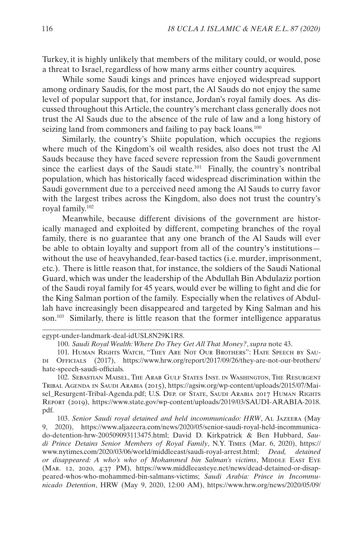Turkey, it is highly unlikely that members of the military could, or would, pose a threat to Israel, regardless of how many arms either country acquires.

While some Saudi kings and princes have enjoyed widespread support among ordinary Saudis, for the most part, the Al Sauds do not enjoy the same level of popular support that, for instance, Jordan's royal family does. As discussed throughout this Article, the country's merchant class generally does not trust the Al Sauds due to the absence of the rule of law and a long history of seizing land from commoners and failing to pay back loans.<sup>100</sup>

Similarly, the country's Shiite population, which occupies the regions where much of the Kingdom's oil wealth resides, also does not trust the Al Sauds because they have faced severe repression from the Saudi government since the earliest days of the Saudi state.<sup>101</sup> Finally, the country's nontribal population, which has historically faced widespread discrimination within the Saudi government due to a perceived need among the Al Sauds to curry favor with the largest tribes across the Kingdom, also does not trust the country's royal family.102

Meanwhile, because different divisions of the government are historically managed and exploited by different, competing branches of the royal family, there is no guarantee that any one branch of the Al Sauds will ever be able to obtain loyalty and support from all of the country's institutions without the use of heavyhanded, fear-based tactics (i.e. murder, imprisonment, etc.). There is little reason that, for instance, the soldiers of the Saudi National Guard, which was under the leadership of the Abdullah Bin Abdulaziz portion of the Saudi royal family for 45 years, would ever be willing to fight and die for the King Salman portion of the family. Especially when the relatives of Abdullah have increasingly been disappeared and targeted by King Salman and his son.<sup>103</sup> Similarly, there is little reason that the former intelligence apparatus

102. Sebastian Maisel, The Arab Gulf States Inst. in Washington, The Resurgent Tribal Agenda in Saudi Arabia (2015), https://agsiw.org/wp-content/uploads/2015/07/Maisel\_Resurgent-Tribal-Agenda.pdf; U.S. DEP. OF STATE, SAUDI ARABIA 2017 HUMAN RIGHTS Report (2019), https://www.state.gov/wp-content/uploads/2019/03/SAUDI-ARABIA-2018. pdf.

103. *Senior Saudi royal detained and held incommunicado: HRW*, Al Jazeera (May 9, 2020), https://www.aljazeera.com/news/2020/05/senior-saudi-royal-held-incommunicado-detention-hrw-200509093113475.html; David D. Kirkpatrick & Ben Hubbard, *Saudi Prince Detains Senior Members of Royal Family*, N.Y. Times (Mar. 6, 2020), https:// www.nytimes.com/2020/03/06/world/middleeast/saudi-royal-arrest.html; *Dead, detained or disappeared: A who's who of Mohammed bin Salman's victims*, MIDDLE EAST EYE (Mar. 12, 2020, 4:37 PM), https://www.middleeasteye.net/news/dead-detained-or-disappeared-whos-who-mohammed-bin-salmans-victims; *Saudi Arabia: Prince in Incommunicado Detention*, HRW (May 9, 2020, 12:00 AM), https://www.hrw.org/news/2020/05/09/

egypt-under-landmark-deal-idUSL8N29K1R8.

<sup>100.</sup> *Saudi Royal Wealth: Where Do They Get All That Money?*, *supra* note 43.

<sup>101.</sup> Human Rights Watch, "They Are Not Our Brothers": Hate Speech by Saudi Officials (2017), https://www.hrw.org/report/2017/09/26/they-are-not-our-brothers/ hate-speech-saudi-officials.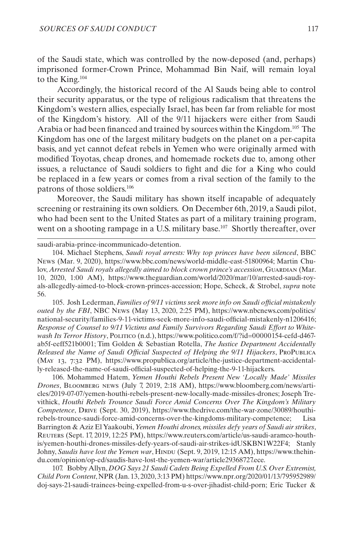of the Saudi state, which was controlled by the now-deposed (and, perhaps) imprisoned former-Crown Prince, Mohammad Bin Naif, will remain loyal to the King.104

Accordingly, the historical record of the Al Sauds being able to control their security apparatus, or the type of religious radicalism that threatens the Kingdom's western allies, especially Israel, has been far from reliable for most of the Kingdom's history. All of the 9/11 hijackers were either from Saudi Arabia or had been financed and trained by sources within the Kingdom.105 The Kingdom has one of the largest military budgets on the planet on a per-capita basis, and yet cannot defeat rebels in Yemen who were originally armed with modified Toyotas, cheap drones, and homemade rockets due to, among other issues, a reluctance of Saudi soldiers to fight and die for a King who could be replaced in a few years or comes from a rival section of the family to the patrons of those soldiers.106

Moreover, the Saudi military has shown itself incapable of adequately screening or restraining its own soldiers. On December 6th, 2019, a Saudi pilot, who had been sent to the United States as part of a military training program, went on a shooting rampage in a U.S. military base.<sup>107</sup> Shortly thereafter, over

saudi-arabia-prince-incommunicado-detention.

104. Michael Stephens, *Saudi royal arrests: Why top princes have been silenced*, BBC News (Mar. 9, 2020), https://www.bbc.com/news/world-middle-east-51800964; Martin Chulov, Arrested Saudi royals allegedly aimed to block crown prince's accession, GUARDIAN (Mar. 10, 2020, 1:00 AM), https://www.theguardian.com/world/2020/mar/10/arrested-saudi-royals-allegedly-aimed-to-block-crown-princes-accession; Hope, Scheck, & Strobel, *supra* note 56.

105. Josh Lederman, *Families of 9/11 victims seek more info on Saudi official mistakenly outed by the FBI*, NBC News (May 13, 2020, 2:25 PM), https://www.nbcnews.com/politics/ national-security/families-9-11-victims-seek-more-info-saudi-official-mistakenly-n1206416; *Response of Counsel to 9/11 Victims and Family Survivors Regarding Saudi Effort to Whitewash Its Terror History*, Politico (n.d.), https://www.politico.com/f/?id=00000154-cefd-d467ab5f-eeff521b0001; Tim Golden & Sebastian Rotella, *The Justice Department Accidentally Released the Name of Saudi Official Suspected of Helping the 9/11 Hijackers*, ProPublica (May 13, 7:32 PM), https://www.propublica.org/article/the-justice-department-accidentally-released-the-name-of-saudi-official-suspected-of-helping-the-9-11-hijackers.

106. Mohammed Hatem, *Yemen Houthi Rebels Present New 'Locally Made' Missiles Drones*, Bloomberg news (July 7, 2019, 2:18 AM), https://www.bloomberg.com/news/articles/2019-07-07/yemen-houthi-rebels-present-new-locally-made-missiles-drones; Joseph Trevithick, *Houthi Rebels Trounce Saudi Force Amid Concerns Over The Kingdom's Military Competence*, Drive (Sept. 30, 2019), https://www.thedrive.com/the-war-zone/30089/houthirebels-trounce-saudi-force-amid-concerns-over-the-kingdoms-military-competence; Lisa Barrington & Aziz El Yaakoubi, *Yemen Houthi drones, missiles defy years of Saudi air strikes*, Reuters (Sept. 17, 2019, 12:25 PM), https://www.reuters.com/article/us-saudi-aramco-houthis/yemen-houthi-drones-missiles-defy-years-of-saudi-air-strikes-idUSKBN1W22F4; Stanly Johny, *Saudis have lost the Yemen war*, HINDU (Sept. 9, 2019, 12:15 AM), https://www.thehindu.com/opinion/op-ed/saudis-have-lost-the-yemen-war/article29368727.ece.

107. Bobby Allyn, *DOG Says 21 Saudi Cadets Being Expelled From U.S. Over Extremist, Child Porn Content*, NPR (Jan. 13, 2020, 3:13 PM) https://www.npr.org/2020/01/13/795952989/ doj-says-21-saudi-trainees-being-expelled-from-u-s-over-jihadist-child-porn; Eric Tucker &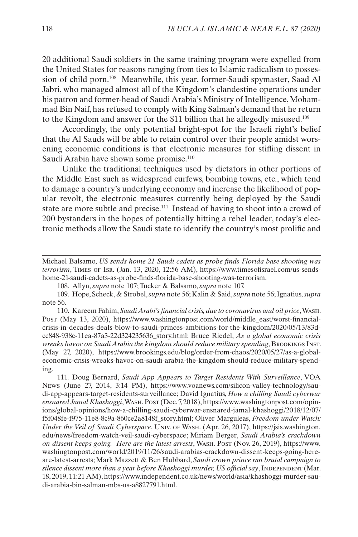20 additional Saudi soldiers in the same training program were expelled from the United States for reasons ranging from ties to Islamic radicalism to possession of child porn.108 Meanwhile, this year, former-Saudi spymaster, Saad Al Jabri, who managed almost all of the Kingdom's clandestine operations under his patron and former-head of Saudi Arabia's Ministry of Intelligence, Mohammad Bin Naif, has refused to comply with King Salman's demand that he return to the Kingdom and answer for the \$11 billion that he allegedly misused.109

Accordingly, the only potential bright-spot for the Israeli right's belief that the Al Sauds will be able to retain control over their people amidst worsening economic conditions is that electronic measures for stifling dissent in Saudi Arabia have shown some promise.<sup>110</sup>

Unlike the traditional techniques used by dictators in other portions of the Middle East such as widespread curfews, bombing towns, etc., which tend to damage a country's underlying economy and increase the likelihood of popular revolt, the electronic measures currently being deployed by the Saudi state are more subtle and precise.<sup>111</sup> Instead of having to shoot into a crowd of 200 bystanders in the hopes of potentially hitting a rebel leader, today's electronic methods allow the Saudi state to identify the country's most prolific and

Michael Balsamo, *US sends home 21 Saudi cadets as probe finds Florida base shooting was terrorism*, Times of Isr. (Jan. 13, 2020, 12:56 AM), https://www.timesofisrael.com/us-sendshome-21-saudi-cadets-as-probe-finds-florida-base-shooting-was-terrorism.

108. Allyn, *supra* note 107; Tucker & Balsamo, *supra* note 107.

109. Hope, Scheck, & Strobel, *supra* note 56; Kalin & Said, *supra* note 56; Ignatius, *supra* note 56.

110. Kareem Fahim, *Saudi Arabi's financial crisis, due to coronavirus and oil price*, Wash. Post (May 13, 2020), https://www.washingtonpost.com/world/middle\_east/worst-financialcrisis-in-decades-deals-blow-to-saudi-princes-ambitions-for-the-kingdom/2020/05/13/83dcc848-938c-11ea-87a3-22d324235636\_story.html; Bruce Riedel, *As a global economic crisis wreaks havoc on Saudi Arabia the kingdom should reduce military spending*, Brookings Inst. (May 27, 2020), https://www.brookings.edu/blog/order-from-chaos/2020/05/27/as-a-globaleconomic-crisis-wreaks-havoc-on-saudi-arabia-the-kingdom-should-reduce-military-spending.

111. Doug Bernard, *Saudi App Appears to Target Residents With Surveillance*, VOA News (June 27, 2014, 3:14 PM), https://www.voanews.com/silicon-valley-technology/saudi-app-appears-target-residents-surveillance; David Ignatius, *How a chilling Saudi cyberwar ensnared Jamal Khashoggi*, Wash. Post (Dec. 7, 2018), https://www.washingtonpost.com/opinions/global-opinions/how-a-chilling-saudi-cyberwar-ensnared-jamal-khashoggi/2018/12/07/ f5f048fe-f975-11e8-8c9a-860ce2a8148f\_story.html; Oliver Marguleas, *Freedom under Watch: Under the Veil of Saudi Cyberspace*, Univ. of Wash. (Apr. 26, 2017), https://jsis.washington. edu/news/freedom-watch-veil-saudi-cyberspace; Miriam Berger, *Saudi Arabia's crackdown on dissent keeps going. Here are the latest arrests*, Wash. Post (Nov. 26, 2019), https://www. washingtonpost.com/world/2019/11/26/saudi-arabias-crackdown-dissent-keeps-going-hereare-latest-arrests; Mark Mazzett & Ben Hubbard, *Saudi crown prince ran brutal campaign to*  silence dissent more than a year before Khashoggi murder, US official say, INDEPENDENT (Mar. 18, 2019, 11:21 AM), https://www.independent.co.uk/news/world/asia/khashoggi-murder-saudi-arabia-bin-salman-mbs-us-a8827791.html.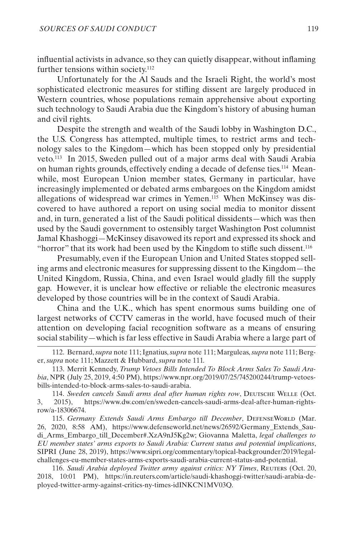influential activists in advance, so they can quietly disappear, without inflaming further tensions within society.<sup>112</sup>

Unfortunately for the Al Sauds and the Israeli Right, the world's most sophisticated electronic measures for stifling dissent are largely produced in Western countries, whose populations remain apprehensive about exporting such technology to Saudi Arabia due the Kingdom's history of abusing human and civil rights.

Despite the strength and wealth of the Saudi lobby in Washington D.C., the U.S. Congress has attempted, multiple times, to restrict arms and technology sales to the Kingdom—which has been stopped only by presidential veto.113 In 2015, Sweden pulled out of a major arms deal with Saudi Arabia on human rights grounds, effectively ending a decade of defense ties.114 Meanwhile, most European Union member states, Germany in particular, have increasingly implemented or debated arms embargoes on the Kingdom amidst allegations of widespread war crimes in Yemen.115 When McKinsey was discovered to have authored a report on using social media to monitor dissent and, in turn, generated a list of the Saudi political dissidents—which was then used by the Saudi government to ostensibly target Washington Post columnist Jamal Khashoggi—McKinsey disavowed its report and expressed its shock and "horror" that its work had been used by the Kingdom to stifle such dissent.<sup>116</sup>

Presumably, even if the European Union and United States stopped selling arms and electronic measures for suppressing dissent to the Kingdom—the United Kingdom, Russia, China, and even Israel would gladly fill the supply gap. However, it is unclear how effective or reliable the electronic measures developed by those countries will be in the context of Saudi Arabia.

China and the U.K., which has spent enormous sums building one of largest networks of CCTV cameras in the world, have focused much of their attention on developing facial recognition software as a means of ensuring social stability—which is far less effective in Saudi Arabia where a large part of

112. Bernard, *supra* note 111; Ignatius, *supra* note 111; Marguleas, *supra* note 111; Berger, *supra* note 111; Mazzett & Hubbard, *supra* note 111.

113. Merrit Kennedy, *Trump Vetoes Bills Intended To Block Arms Sales To Saudi Arabia*, NPR (July 25, 2019, 4:50 PM), https://www.npr.org/2019/07/25/745200244/trump-vetoesbills-intended-to-block-arms-sales-to-saudi-arabia.

114. *Sweden cancels Saudi arms deal after human rights row*, Deutsche Welle (Oct. 3, 2015), https://www.dw.com/en/sweden-cancels-saudi-arms-deal-after-human-rightsrow/a-18306674.

115. Germany Extends Saudi Arms Embargo till December, DEFENSEWORLD (Mar. 26, 2020, 8:58 AM), https://www.defenseworld.net/news/26592/Germany\_Extends\_Saudi\_Arms\_Embargo\_till\_December#.XzA9nJ5Kg2w; Giovanna Maletta, *legal challenges to EU member states' arms exports to Saudi Arabia: Current status and potential implications*, SIPRI (June 28, 2019), https://www.sipri.org/comme[ntary/topical-backgrounder/2019/legal](https://www.sipri.org/commentary/topical-backgrounder/2019/legal-challenges-eu-member-states-arms-exports-saudi-arabia-current-status-and-potential)[challenges-eu-member-states-arms-exports-saudi-arabia-current-status-and-potential.](https://www.sipri.org/commentary/topical-backgrounder/2019/legal-challenges-eu-member-states-arms-exports-saudi-arabia-current-status-and-potential)

116. *Saudi Arabia deployed Twitter army against critics: NY Times*, REUTERS (Oct. 20, 2018, 10:01 PM), https://in.reuters.com/article/saudi-khashoggi-twitter/saudi-arabia-deployed-twitter-army-against-critics-ny-times-idINKCN1MV03Q.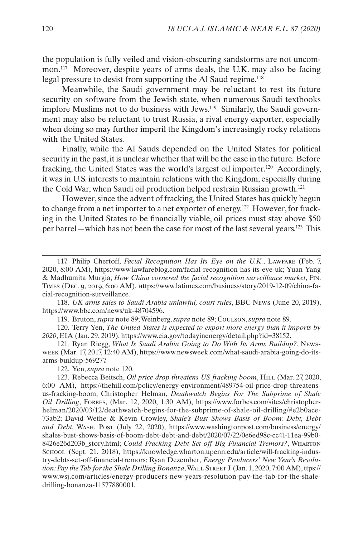the population is fully veiled and vision-obscuring sandstorms are not uncommon.117 Moreover, despite years of arms deals, the U.K. may also be facing legal pressure to desist from supporting the Al Saud regime.<sup>118</sup>

Meanwhile, the Saudi government may be reluctant to rest its future security on software from the Jewish state, when numerous Saudi textbooks implore Muslims not to do business with Jews.<sup>119</sup> Similarly, the Saudi government may also be reluctant to trust Russia, a rival energy exporter, especially when doing so may further imperil the Kingdom's increasingly rocky relations with the United States.

Finally, while the Al Sauds depended on the United States for political security in the past, it is unclear whether that will be the case in the future. Before fracking, the United States was the world's largest oil importer.120 Accordingly, it was in U.S. interests to maintain relations with the Kingdom, especially during the Cold War, when Saudi oil production helped restrain Russian growth.121

However, since the advent of fracking, the United States has quickly begun to change from a net importer to a net exporter of energy.122 However, for fracking in the United States to be financially viable, oil prices must stay above \$50 per barrel—which has not been the case for most of the last several years.123 This

118. *UK arms sales to Saudi Arabia unlawful, court rules*, BBC News (June 20, 2019), https://www.bbc.com/news/uk-48704596.

119. Bruton, *supra* note 89; Weinberg, *supra* note 89; Coulson, *supra* note 89.

120. Terry Yen, *The United States is expected to export more energy than it imports by 2020*, EIA (Jan. 29, 2019), https://www.eia.gov/todayinenergy/detail.php?id=38152.

121. Ryan Riegg, *What Is Saudi Arabia Going to Do With Its Arms Buildup?*, Newsweek (Mar. 17, 2017, 12:40 AM), https://www.newsweek.com/what-saudi-arabia-going-do-itsarms-buildup-569277.

122. Yen, *supra* note 120.

123. Rebecca Beitsch, *Oil price drop threatens US fracking boom*, Hill (Mar. 27, 2020, 6:00 AM), https://thehill.com/policy/energy-environment/489754-oil-price-drop-threatensus-fracking-boom; Christopher Helman, *Deathwatch Begins For The Subprime of Shale Oil Drilling*, Forbes, (Mar. 12, 2020, 1:30 AM), https://www.forbes.com/sites/christopherhelman/2020/03/12/deathwatch-begins-for-the-subprime-of-shale-oil-drilling/#e2b0ace-73ab2; David Wethe & Kevin Crowley, *Shale's Bust Shows Basis of Boom: Debt, Debt and Debt*, Wash. Post (July 22, 2020), https://www.washingtonpost.com/business/energy/ shales-bust-shows-basis-of-boom-debt-debt-and-debt/2020/07/22/0e6ed98c-cc41-11ea-99b0- 8426e26d203b\_story.html; *Could Fracking Debt Set off Big Financial Tremors?*, Wharton School (Sept. 21, 2018), https://knowledge.wharton.upenn.edu/article/will-fracking-industry-debts-set-off-financial-tremors; Ryan Dezember, *Energy Producers' New Year's Resolution: Pay the Tab for the Shale Drilling Bonanza*, WALL STREET J. (Jan. 1, 2020, 7:00 AM), ttps:// www.wsj.com/articles/energy-producers-new-years-resolution-pay-the-tab-for-the-shaledrilling-bonanza-11577880001.

<sup>117.</sup> Philip Chertoff, *Facial Recognition Has Its Eye on the U.K.*, Lawfare (Feb. 7, 2020, 8:00 AM), https://www.lawfareblog.com/facial-recognition-has-its-eye-uk; Yuan Yang & Madhumita Murgia, *How China cornered the facial recognition surveillance market*, Fin. Times (Dec. 9, 2019, 6:00 AM), https://www.latimes.com/business/story/2019-12-09/china-facial-recognition-surveillance.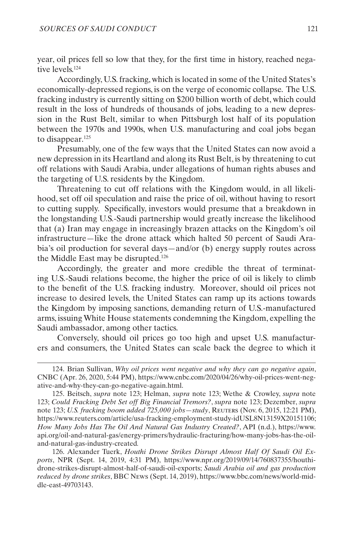year, oil prices fell so low that they, for the first time in history, reached negative levels.124

Accordingly, U.S. fracking, which is located in some of the United States's economically-depressed regions, is on the verge of economic collapse. The U.S. fracking industry is currently sitting on \$200 billion worth of debt, which could result in the loss of hundreds of thousands of jobs, leading to a new depression in the Rust Belt, similar to when Pittsburgh lost half of its population between the 1970s and 1990s, when U.S. manufacturing and coal jobs began to disappear.125

Presumably, one of the few ways that the United States can now avoid a new depression in its Heartland and along its Rust Belt, is by threatening to cut off relations with Saudi Arabia, under allegations of human rights abuses and the targeting of U.S. residents by the Kingdom.

Threatening to cut off relations with the Kingdom would, in all likelihood, set off oil speculation and raise the price of oil, without having to resort to cutting supply. Specifically, investors would presume that a breakdown in the longstanding U.S.-Saudi partnership would greatly increase the likelihood that (a) Iran may engage in increasingly brazen attacks on the Kingdom's oil infrastructure—like the drone attack which halted 50 percent of Saudi Arabia's oil production for several days—and/or (b) energy supply routes across the Middle East may be disrupted.126

Accordingly, the greater and more credible the threat of terminating U.S.-Saudi relations become, the higher the price of oil is likely to climb to the benefit of the U.S. fracking industry. Moreover, should oil prices not increase to desired levels, the United States can ramp up its actions towards the Kingdom by imposing sanctions, demanding return of U.S.-manufactured arms, issuing White House statements condemning the Kingdom, expelling the Saudi ambassador, among other tactics.

Conversely, should oil prices go too high and upset U.S. manufacturers and consumers, the United States can scale back the degree to which it

126. Alexander Tuerk, *Houthi Drone Strikes Disrupt Almost Half Of Saudi Oil Exports*, NPR (Sept. 14, 2019, 4:31 PM), https://www.npr.org/2019/09/14/760837355/houthidrone-strikes-disrupt-almost-half-of-saudi-oil-exports; *Saudi Arabia oil and gas production reduced by drone strikes*, BBC News (Sept. 14, 2019), https://www.bbc.com/news/world-middle-east-49703143.

<sup>124.</sup> Brian Sullivan, *Why oil prices went negative and why they can go negative again*, CNBC (Apr. 26, 2020, 5:44 PM), https://www.cnbc.com/2020/04/26/why-oil-prices-went-negative-and-why-they-can-go-negative-again.html.

<sup>125.</sup> Beitsch, *supra* note 123; Helman, *supra* note 123; Wethe & Crowley, *supra* note 123; *Could Fracking Debt Set off Big Financial Tremors?*, *supra* note 123; Dezember, *supra* note 123; *U.S. fracking boom added 725,000 jobs—study*, Reuters (Nov. 6, 2015, 12:21 PM), https://www.reuters.com/article/usa-fracking-employment-study-idUSL8N13159X20151106; *How Many Jobs Has The Oil And Natural Gas Industry Created?*, API (n.d.), https://www. api.org/oil-and-natural-gas/energy-primers/hydraulic-fracturing/how-many-jobs-has-the-oiland-natural-gas-industry-created*.*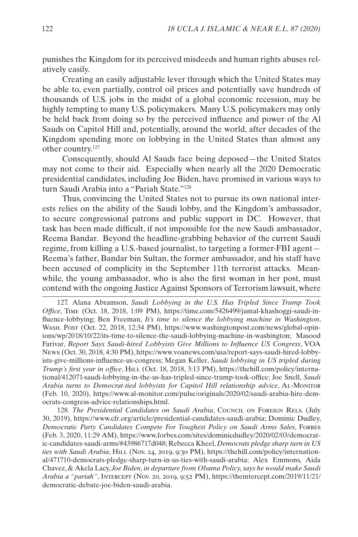punishes the Kingdom for its perceived misdeeds and human rights abuses relatively easily.

Creating an easily adjustable lever through which the United States may be able to, even partially, control oil prices and potentially save hundreds of thousands of U.S. jobs in the midst of a global economic recession, may be highly tempting to many U.S. policymakers. Many U.S. policymakers may only be held back from doing so by the perceived influence and power of the Al Sauds on Capitol Hill and, potentially, around the world, after decades of the Kingdom spending more on lobbying in the United States than almost any other country.127

Consequently, should Al Sauds face being deposed—the United States may not come to their aid. Especially when nearly all the 2020 Democratic presidential candidates, including Joe Biden, have promised in various ways to turn Saudi Arabia into a "Pariah State."128

Thus, convincing the United States not to pursue its own national interests relies on the ability of the Saudi lobby, and the Kingdom's ambassador, to secure congressional patrons and public support in DC. However, that task has been made difficult, if not impossible for the new Saudi ambassador, Reema Bandar. Beyond the headline-grabbing behavior of the current Saudi regime, from killing a U.S.-based journalist, to targeting a former-FBI agent— Reema's father, Bandar bin Sultan, the former ambassador, and his staff have been accused of complicity in the September 11th terrorist attacks. Meanwhile, the young ambassador, who is also the first woman in her post, must contend with the ongoing Justice Against Sponsors of Terrorism lawsuit, where

128. *The Presidential Candidates on Saudi Arabia*, Council on Foreign Rels. (July 30, 2019), https://www.cfr.org/article/presidential-candidates-saudi-arabia; Dominic Dudley, *Democratic Party Candidates Compete For Toughest Policy on Saudi Arms Sales*, FORBES (Feb. 3, 2020, 11:29 AM), https://www.forbes.com/sites/dominicdudley/2020/02/03/democratic-candidates-saudi-arms/#43986717d048; Rebecca Kheel, *Democrats pledge sharp turn in US ties with Saudi Arabia*, HILL (Nov. 24, 2019, 9:30 PM), https://thehill.com/policy/international/471710-democrats-pledge-sharp-turn-in-us-ties-with-saudi-arabia; Alex Emmons, Aida Chavez, & Akela Lacy, *Joe Biden, in departure from Obama Policy, says he would make Saudi Arabia a "pariah"*, Intercept (Nov. 20, 2019, 9:52 PM), https://theintercept.com/2019/11/21/ democratic-debate-joe-biden-saudi-arabia.

<sup>127.</sup> Alana Abramson, *Saudi Lobbying in the U.S. Has Tripled Since Trump Took Office*, Time (Oct. 18, 2018, 1:09 PM), https://time.com/5426499/jamal-khashoggi-saudi-influence-lobbying; Ben Freeman, *It's time to silence the lobbying machine in Washington*, Wash. Post (Oct. 22, 2018, 12:34 PM), https://www.washingtonpost.com/news/global-opinions/wp/2018/10/22/its-time-to-silence-the-saudi-lobbying-machine-in-washington; Masood Farivar, *Report Says Saudi-hired Lobbyists Give Millions to Influence US Congress*, VOA News (Oct. 30, 2018, 4:30 PM), https://www.voanews.com/usa/report-says-saudi-hired-lobbyists-give-millions-influence-us-congress; Megan Keller, *Saudi lobbying in US tripled during Trump's first year in office*, Hill (Oct. 18, 2018, 3:13 PM), https://thehill.com/policy/international/412071-saudi-lobbying-in-the-us-has-tripled-since-trump-took-offi[ce;](https://thehill.com/policy/international/412071-saudi-lobbying-in-the-us-has-tripled-since-trump-took-office) Joe Snell, *Saudi Arabia turns to Democrat-tied lobbyists for Capitol Hill relationship advice*, Al-Monitor (Feb. 10, 2020), https://www.al-monitor.com/pulse/originals/2020/02/saudi-arabia-hire-democrats-congress-advice-relationships.html.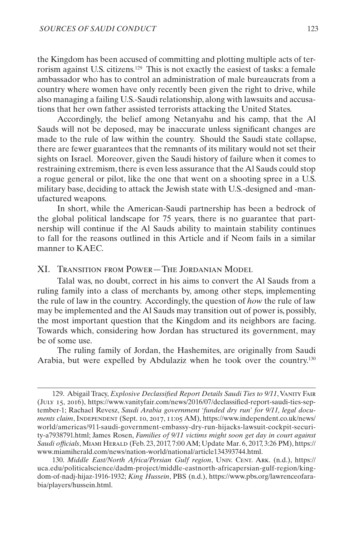<span id="page-36-0"></span>the Kingdom has been accused of committing and plotting multiple acts of terrorism against U.S. citizens.129 This is not exactly the easiest of tasks: a female ambassador who has to control an administration of male bureaucrats from a country where women have only recently been given the right to drive, while also managing a failing U.S.-Saudi relationship, along with lawsuits and accusations that her own father assisted terrorists attacking the United States.

Accordingly, the belief among Netanyahu and his camp, that the Al Sauds will not be deposed, may be inaccurate unless significant changes are made to the rule of law within the country. Should the Saudi state collapse, there are fewer guarantees that the remnants of its military would not set their sights on Israel. Moreover, given the Saudi history of failure when it comes to restraining extremism, there is even less assurance that the Al Sauds could stop a rogue general or pilot, like the one that went on a shooting spree in a U.S. military base, deciding to attack the Jewish state with U.S.-designed and -manufactured weapons.

In short, while the American-Saudi partnership has been a bedrock of the global political landscape for 75 years, there is no guarantee that partnership will continue if the Al Sauds ability to maintain stability continues to fall for the reasons outlined in this Article and if Neom fails in a similar manner to KAEC.

## XI. Transition from Power—The Jordanian Model

Talal was, no doubt, correct in his aims to convert the Al Sauds from a ruling family into a class of merchants by, among other steps, implementing the rule of law in the country. Accordingly, the question of *how* the rule of law may be implemented and the Al Sauds may transition out of power is, possibly, the most important question that the Kingdom and its neighbors are facing. Towards which, considering how Jordan has structured its government, may be of some use.

The ruling family of Jordan, the Hashemites, are originally from Saudi Arabia, but were expelled by Abdulaziz when he took over the country.130

<sup>129.</sup> Abigail Tracy, *Explosive Declassified Report Details Saudi Ties to 9/11*, Vanity Fair (July 15, 2016), https://www.vanityfair.com/news/2016/07/declassified-report-sau[di-ties-sep](https://www.vanityfair.com/news/2016/07/declassified-report-saudi-ties-september-11)[tember-1](https://www.vanityfair.com/news/2016/07/declassified-report-saudi-ties-september-11); Rachael Revesz, *Saudi Arabia government 'funded dry run' for 9/11, legal documents claim*, INDEPENDENT (Sept. 10, 2017, 11:05 AM), https://www.independent.co.uk/news/ world/americas/911-saudi-government-embassy-dry-run-hijacks-lawsuit-cockpit-security-a7938791.html; James Rosen, *Families of 9/11 victims might soon get day in court against Saudi officials*, Miami Herald (Feb. 23, 2017, 7:00 AM; Update Mar. 6, 2017, 3:26 PM), https:// www.miamiherald.com/news/nation-world/national/article134393744.html.

<sup>130.</sup> *Middle East/North Africa/Persian Gulf region*, Univ. Cent. Ark. (n.d.), https:// uca.edu/politicalscience/dadm-project/middle-eastnorth-africapersian-gulf-region/kingdom-of-nadj-hijaz-1916-1932; *King Hussein*, PBS (n.d.), https://www.pbs.org/lawrenceofarabia/players/hussein.html.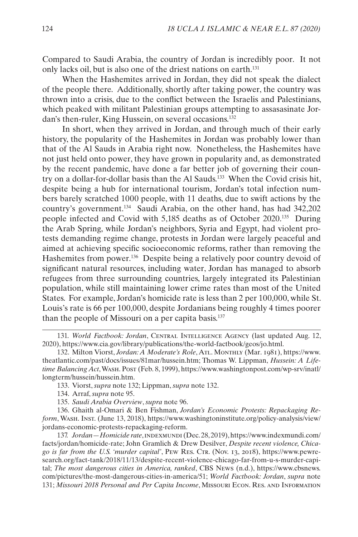Compared to Saudi Arabia, the country of Jordan is incredibly poor. It not only lacks oil, but is also one of the driest nations on earth.131

When the Hashemites arrived in Jordan, they did not speak the dialect of the people there. Additionally, shortly after taking power, the country was thrown into a crisis, due to the conflict between the Israelis and Palestinians, which peaked with militant Palestinian groups attempting to assasasinate Jordan's then-ruler, King Hussein, on several occasions.132

In short, when they arrived in Jordan, and through much of their early history, the popularity of the Hashemites in Jordan was probably lower than that of the Al Sauds in Arabia right now. Nonetheless, the Hashemites have not just held onto power, they have grown in popularity and, as demonstrated by the recent pandemic, have done a far better job of governing their country on a dollar-for-dollar basis than the Al Sauds.133 When the Covid crisis hit, despite being a hub for international tourism, Jordan's total infection numbers barely scratched 1000 people, with 11 deaths, due to swift actions by the country's government.134 Saudi Arabia, on the other hand, has had 342,202 people infected and Covid with 5,185 deaths as of October 2020.135 During the Arab Spring, while Jordan's neighbors, Syria and Egypt, had violent protests demanding regime change, protests in Jordan were largely peaceful and aimed at achieving specific socioeconomic reforms, rather than removing the Hashemites from power.<sup>136</sup> Despite being a relatively poor country devoid of significant natural resources, including water, Jordan has managed to absorb refugees from three surrounding countries, largely integrated its Palestinian population, while still maintaining lower crime rates than most of the United States. For example, Jordan's homicide rate is less than 2 per 100,000, while St. Louis's rate is 66 per 100,000, despite Jordanians being roughly 4 times poorer than the people of Missouri on a per capita basis.137

<sup>131.</sup> *World Factbook: Jordan*, CENTRAL INTELLIGENCE AGENCY (last updated Aug. 12, 2020), https://www.cia.gov/library/publications/the-world-factbook/geos/jo.html.

<sup>132.</sup> Milton Viorst, *Jordan: A Moderate's Role*, Atl. Monthly (Mar. 1981), https://www. theatlantic.com/past/docs/issues/81mar/hussein.htm; Thomas W. Lippman, *Hussein: A Lifetime Balancing Act*, Wash. Post (Feb. 8, 1999), https://www.washingtonpost.com/wp-srv/inatl/ longterm/hussein/hussein.htm.

<sup>133.</sup> Viorst, *supra* note 132; Lippman, *supra* note 132.

<sup>134.</sup> Arraf, *supra* note 95.

<sup>135.</sup> *Saudi Arabia Overview*, *supra* note 96.

<sup>136.</sup> Ghaith al-Omari & Ben Fishman, *Jordan's Economic Protests: Repackaging Reform*, Wash. Inst. (June 13, 2018), https://www.washingtoninstitute.org/policy-analysis/view/ jordans-economic-protests-repackaging-reform.

<sup>137.</sup> *Jordan—Homicide rate*, indexmundi (Dec. 28, 2019), https://www.indexmundi.com/ facts/jordan/homicide-rate; John Gramlich & Drew Desilver, *Despite recent violence, Chicago is far from the U.S. 'murder capital'*, Pew Res. Ctr. (Nov. 13, 2018), https://www.pewresearch.org/fact-tank/2018/11/13/despite-recent-violence-chicago-far-from-u-s-murder-capital; *The most dangerous cities in America, ranked*, CBS News (n.d.), https://www.cbsnews. com/pictures/the-most-dangerous-cities-in-america/51; *World Factbook: Jordan*, *supra* note 131; *Missouri 2018 Personal and Per Capita Income*, Missouri Econ. Res. and Information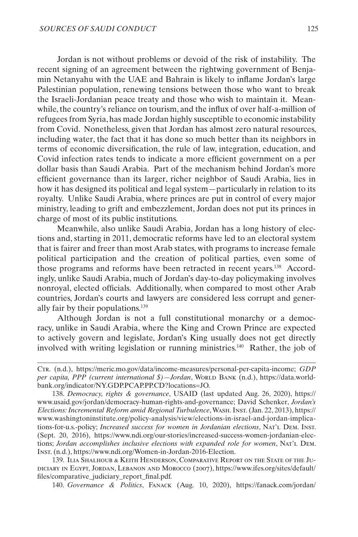Jordan is not without problems or devoid of the risk of instability. The recent signing of an agreement between the rightwing government of Benjamin Netanyahu with the UAE and Bahrain is likely to inflame Jordan's large Palestinian population, renewing tensions between those who want to break the Israeli-Jordanian peace treaty and those who wish to maintain it. Meanwhile, the country's reliance on tourism, and the influx of over half-a-million of refugees from Syria, has made Jordan highly susceptible to economic instability from Covid. Nonetheless, given that Jordan has almost zero natural resources, including water, the fact that it has done so much better than its neighbors in terms of economic diversification, the rule of law, integration, education, and Covid infection rates tends to indicate a more efficient government on a per dollar basis than Saudi Arabia. Part of the mechanism behind Jordan's more efficient governance than its larger, richer neighbor of Saudi Arabia, lies in how it has designed its political and legal system—particularly in relation to its royalty. Unlike Saudi Arabia, where princes are put in control of every major ministry, leading to grift and embezzlement, Jordan does not put its princes in charge of most of its public institutions.

Meanwhile, also unlike Saudi Arabia, Jordan has a long history of elections and, starting in 2011, democratic reforms have led to an electoral system that is fairer and freer than most Arab states, with programs to increase female political participation and the creation of political parties, even some of those programs and reforms have been retracted in recent years.138 Accordingly, unlike Saudi Arabia, much of Jordan's day-to-day policymaking involves nonroyal, elected officials. Additionally, when compared to most other Arab countries, Jordan's courts and lawyers are considered less corrupt and generally fair by their populations.139

Although Jordan is not a full constitutional monarchy or a democracy, unlike in Saudi Arabia, where the King and Crown Prince are expected to actively govern and legislate, Jordan's King usually does not get directly involved with writing legislation or running ministries.140 Rather, the job of

139. Ilia Shalhoub & Keith Henderson, Comparative Report on the State of the Judiciary in Egypt, Jordan, Lebanon and Morocco (2007), https://www.ifes.org/sites/default/ files/comparative\_judiciary\_report\_final.pdf*.*

140. *Governance & Politics*, Fanack (Aug. 10, 2020), https://fanack.com/jordan/

Ctr. (n.d.), https://meric.mo.gov/data/income-measures/personal-per-capita-income; *GDP*  per capita, PPP (current international \$)-Jordan, WORLD BANK (n.d.), https://data.worldbank.org/indicator/NY.GDP.PCAP.PP.CD?locations=JO.

<sup>138.</sup> *Democracy, rights & governance*, USAID (last updated Aug. 26, 2020), https:// www.usaid*.*gov/jordan/democracy-human-rights-and-governance; David Schenker, *Jordan's Elections: Incremental Reform amid Regional Turbulence*, Wash. Inst. (Jan. 22, 2013), https:// www.washingtoninstitute.org/policy-analysis/view/elections-in-israel-and-jordan-implications-for-u.s.-policy; *Increased success for women in Jordanian elections*, Nat'l Dem. Inst. (Sept. 20, 2016), https://www.ndi.org/our-stories/increased-success-women-jordanian-elections; *Jordan accomplishes inclusive elections with expanded role for women*, Nat'l Dem. Inst. (n.d.), https://www.ndi.org/Women-in-Jordan-2016-Election.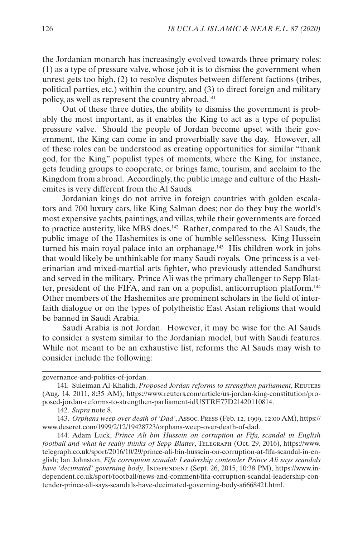the Jordanian monarch has increasingly evolved towards three primary roles: (1) as a type of pressure valve, whose job it is to dismiss the government when unrest gets too high, (2) to resolve disputes between different factions (tribes, political parties, etc.) within the country, and (3) to direct foreign and military policy, as well as represent the country abroad.141

Out of these three duties, the ability to dismiss the government is probably the most important, as it enables the King to act as a type of populist pressure valve. Should the people of Jordan become upset with their government, the King can come in and proverbially save the day. However, all of these roles can be understood as creating opportunities for similar "thank god, for the King" populist types of moments, where the King, for instance, gets feuding groups to cooperate, or brings fame, tourism, and acclaim to the Kingdom from abroad. Accordingly, the public image and culture of the Hashemites is very different from the Al Sauds.

Jordanian kings do not arrive in foreign countries with golden escalators and 700 luxury cars, like King Salman does; nor do they buy the world's most expensive yachts, paintings, and villas, while their governments are forced to practice austerity, like MBS does.142 Rather, compared to the Al Sauds, the public image of the Hashemites is one of humble selflessness. King Hussein turned his main royal palace into an orphanage.<sup>143</sup> His children work in jobs that would likely be unthinkable for many Saudi royals. One princess is a veterinarian and mixed-martial arts fighter, who previously attended Sandhurst and served in the military. Prince Ali was the primary challenger to Sepp Blatter, president of the FIFA, and ran on a populist, anticorruption platform.144 Other members of the Hashemites are prominent scholars in the field of interfaith dialogue or on the types of polytheistic East Asian religions that would be banned in Saudi Arabia.

Saudi Arabia is not Jordan. However, it may be wise for the Al Sauds to consider a system similar to the Jordanian model, but with Saudi features. While not meant to be an exhaustive list, reforms the Al Sauds may wish to consider include the following:

governance-and-politics-of-jordan.

<sup>141.</sup> Suleiman Al-Khalidi, *Proposed Jordan reforms to strengthen parliament*, Reuters (Aug. 14, 2011, 8:35 AM), https://www.reuters.com/article/us-jordan-king-constitution/proposed-jordan-reforms-to-strengthen-parliament-idUSTRE77D21420110814.

<sup>142.</sup> *Supra* note 8.

<sup>143.</sup> *Orphans weep over death of 'Dad'*, Assoc. Press (Feb. 12, 1999, 12:00 AM), https:// www.deseret.com/1999/2/12/19428723/orphans-weep-over-death-of-dad.

<sup>144.</sup> Adam Luck, *Prince Ali bin Hussein on corruption at Fifa, scandal in English football and what he really thinks of Sepp Blatter*, Telegraph (Oct. 29, 2016), https://www. telegraph.co.uk/sport/2016/10/29/prince-ali-bin-hussein-on-corruption-at-fifa-scandal-in-english; Ian Johnston, *Fifa corruption scandal: Leadership contender Prince Ali says scandals have 'decimated' governing body*, INDEPENDENT (Sept. 26, 2015, 10:38 PM), https://www.independent.co.uk/sport/football/news-and-comment/fifa-corruption-scandal-leadership-contender-prince-ali-says-scandals-have-decimated-governing-body-a6668421.html.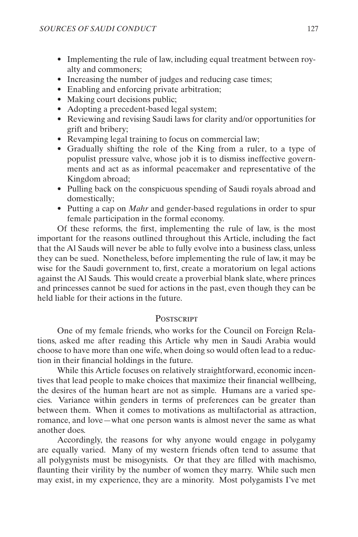- <span id="page-40-0"></span>• Implementing the rule of law, including equal treatment between royalty and commoners;
- Increasing the number of judges and reducing case times;
- Enabling and enforcing private arbitration;
- Making court decisions public;
- Adopting a precedent-based legal system;
- Reviewing and revising Saudi laws for clarity and/or opportunities for grift and bribery;
- Revamping legal training to focus on commercial law;
- Gradually shifting the role of the King from a ruler, to a type of populist pressure valve, whose job it is to dismiss ineffective governments and act as as informal peacemaker and representative of the Kingdom abroad;
- Pulling back on the conspicuous spending of Saudi royals abroad and domestically;
- Putting a cap on *Mahr* and gender-based regulations in order to spur female participation in the formal economy.

Of these reforms, the first, implementing the rule of law, is the most important for the reasons outlined throughout this Article, including the fact that the Al Sauds will never be able to fully evolve into a business class, unless they can be sued. Nonetheless, before implementing the rule of law, it may be wise for the Saudi government to, first, create a moratorium on legal actions against the Al Sauds. This would create a proverbial blank slate, where princes and princesses cannot be sued for actions in the past, even though they can be held liable for their actions in the future.

#### **POSTSCRIPT**

One of my female friends, who works for the Council on Foreign Relations, asked me after reading this Article why men in Saudi Arabia would choose to have more than one wife, when doing so would often lead to a reduction in their financial holdings in the future.

While this Article focuses on relatively straightforward, economic incentives that lead people to make choices that maximize their financial wellbeing, the desires of the human heart are not as simple. Humans are a varied species. Variance within genders in terms of preferences can be greater than between them. When it comes to motivations as multifactorial as attraction, romance, and love—what one person wants is almost never the same as what another does.

Accordingly, the reasons for why anyone would engage in polygamy are equally varied. Many of my western friends often tend to assume that all polygynists must be misogynists. Or that they are filled with machismo, flaunting their virility by the number of women they marry. While such men may exist, in my experience, they are a minority. Most polygamists I've met